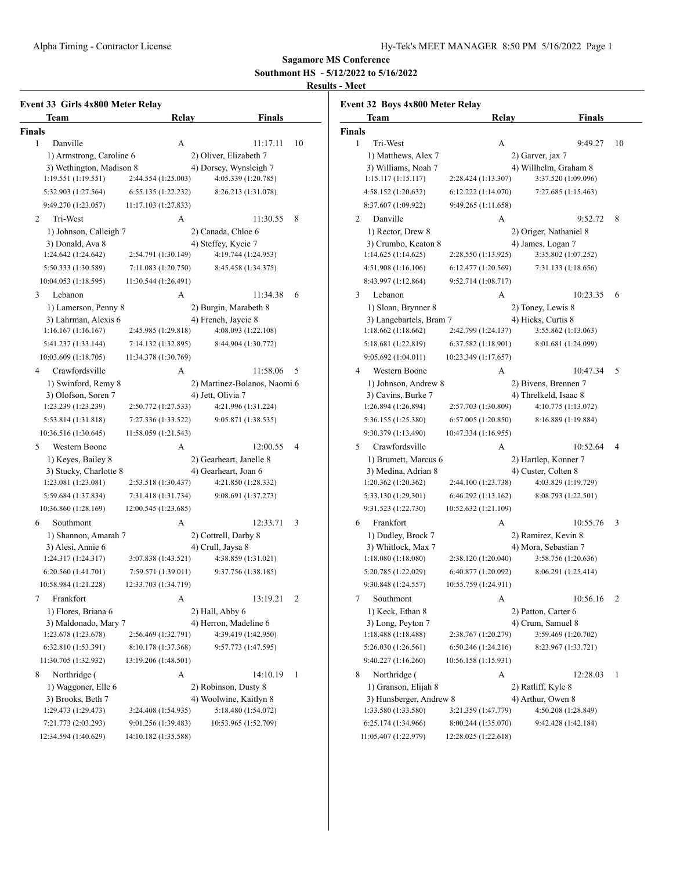**Southmont HS - 5/12/2022 to 5/16/2022**

# **Results - Meet**

| Event 33 Girls 4x800 Meter Relay           |                      |                                                   |    |  |  |  |
|--------------------------------------------|----------------------|---------------------------------------------------|----|--|--|--|
| Team                                       | Relay                | <b>Finals</b>                                     |    |  |  |  |
| <b>Finals</b>                              |                      |                                                   |    |  |  |  |
| Danville<br>1                              | A                    | 11:17.11                                          | 10 |  |  |  |
| 1) Armstrong, Caroline 6                   |                      | 2) Oliver, Elizabeth 7                            |    |  |  |  |
| 3) Wethington, Madison 8                   |                      | 4) Dorsey, Wynsleigh 7                            |    |  |  |  |
| 1:19.551 (1:19.551)                        | 2:44.554 (1:25.003)  | 4:05.339 (1:20.785)                               |    |  |  |  |
| 5:32.903 (1:27.564)                        | 6:55.135 (1:22.232)  | 8:26.213 (1:31.078)                               |    |  |  |  |
| 9:49.270 (1:23.057)                        | 11:17.103 (1:27.833) |                                                   |    |  |  |  |
| Tri-West<br>$\overline{c}$                 | A                    | 11:30.55                                          | 8  |  |  |  |
| 1) Johnson, Calleigh 7                     |                      | 2) Canada, Chloe 6                                |    |  |  |  |
| 3) Donald, Ava 8                           |                      | 4) Steffey, Kycie 7                               |    |  |  |  |
| 1:24.642 (1:24.642)                        | 2:54.791 (1:30.149)  | 4:19.744 (1:24.953)                               |    |  |  |  |
| 5:50.333 (1:30.589)                        | 7:11.083 (1:20.750)  | 8:45.458 (1:34.375)                               |    |  |  |  |
| 10:04.053 (1:18.595)                       | 11:30.544 (1:26.491) |                                                   |    |  |  |  |
| 3<br>Lebanon                               | А                    | 11:34.38                                          | 6  |  |  |  |
| 1) Lamerson, Penny 8                       |                      | 2) Burgin, Marabeth 8                             |    |  |  |  |
| 3) Lahrman, Alexis 6<br>1:16.167(1:16.167) | 2:45.985 (1:29.818)  | 4) French, Jaycie 8<br>4:08.093 (1:22.108)        |    |  |  |  |
| 5:41.237 (1:33.144)                        | 7:14.132 (1:32.895)  | 8:44.904 (1:30.772)                               |    |  |  |  |
| 10:03.609 (1:18.705)                       | 11:34.378 (1:30.769) |                                                   |    |  |  |  |
|                                            |                      |                                                   |    |  |  |  |
| 4<br>Crawfordsville<br>1) Swinford, Remy 8 | А                    | 11:58.06                                          | 5  |  |  |  |
| 3) Olofson, Soren 7                        |                      | 2) Martinez-Bolanos, Naomi 6<br>4) Jett, Olivia 7 |    |  |  |  |
| 1:23.239 (1:23.239)                        | 2:50.772 (1:27.533)  | 4:21.996 (1:31.224)                               |    |  |  |  |
| 5:53.814 (1:31.818)                        | 7:27.336 (1:33.522)  | 9:05.871 (1:38.535)                               |    |  |  |  |
| 10:36.516 (1:30.645)                       | 11:58.059 (1:21.543) |                                                   |    |  |  |  |
| 5<br>Western Boone                         | А                    | 12:00.55                                          | 4  |  |  |  |
| 1) Keyes, Bailey 8                         |                      | 2) Gearheart, Janelle 8                           |    |  |  |  |
| 3) Stucky, Charlotte 8                     |                      | 4) Gearheart, Joan 6                              |    |  |  |  |
| 1:23.081 (1:23.081)                        | 2:53.518 (1:30.437)  | 4:21.850 (1:28.332)                               |    |  |  |  |
| 5:59.684 (1:37.834)                        | 7:31.418 (1:31.734)  | 9:08.691 (1:37.273)                               |    |  |  |  |
| 10:36.860 (1:28.169)                       | 12:00.545 (1:23.685) |                                                   |    |  |  |  |
| 6<br>Southmont                             | А                    | 12:33.71                                          | 3  |  |  |  |
| 1) Shannon, Amarah 7                       |                      | 2) Cottrell, Darby 8                              |    |  |  |  |
| 3) Alesi, Annie 6                          |                      | 4) Crull, Jaysa 8                                 |    |  |  |  |
| 1:24.317 (1:24.317)                        | 3:07.838 (1:43.521)  | 4:38.859 (1:31.021)                               |    |  |  |  |
| 6:20.560 (1:41.701)                        | 7:59.571 (1:39.011)  | 9:37.756 (1:38.185)                               |    |  |  |  |
| 10:58.984 (1:21.228)                       | 12:33.703 (1:34.719) |                                                   |    |  |  |  |
| 7<br>Frankfort                             | А                    | 13:19.21                                          | 2  |  |  |  |
| 1) Flores, Briana 6                        |                      | 2) Hall, Abby 6                                   |    |  |  |  |
| 3) Maldonado, Mary 7                       |                      | 4) Herron, Madeline 6                             |    |  |  |  |
| 1:23.678 (1:23.678)                        | 2:56.469 (1:32.791)  | 4:39.419 (1:42.950)                               |    |  |  |  |
| 6:32.810 (1:53.391)                        | 8:10.178 (1:37.368)  | 9:57.773 (1:47.595)                               |    |  |  |  |
| 11:30.705 (1:32.932)                       | 13:19.206 (1:48.501) |                                                   |    |  |  |  |
| 8<br>Northridge (                          | А                    | 14:10.19                                          | 1  |  |  |  |
| 1) Waggoner, Elle 6                        |                      | 2) Robinson, Dusty 8                              |    |  |  |  |
| 3) Brooks, Beth 7                          |                      | 4) Woolwine, Kaitlyn 8                            |    |  |  |  |
| 1:29.473 (1:29.473)                        | 3:24.408 (1:54.935)  | 5:18.480 (1:54.072)                               |    |  |  |  |
| 7:21.773 (2:03.293)                        | 9:01.256 (1:39.483)  | 10:53.965 (1:52.709)                              |    |  |  |  |
| 12:34.594 (1:40.629)                       | 14:10.182 (1:35.588) |                                                   |    |  |  |  |

| Team                                           | Relay                | <b>Finals</b>                            |
|------------------------------------------------|----------------------|------------------------------------------|
| <b>Finals</b>                                  |                      |                                          |
| 1<br>Tri-West                                  | А                    | 9:49.27<br>10                            |
| 1) Matthews, Alex 7                            |                      | 2) Garver, jax 7                         |
| 3) Williams, Noah 7                            |                      | 4) Willhelm, Graham 8                    |
| 1:15.117(1:15.117)                             | 2:28.424 (1:13.307)  | 3:37.520 (1:09.096)                      |
| 4:58.152 (1:20.632)                            | 6:12.222(1:14.070)   | 7:27.685 (1:15.463)                      |
| 8:37.607 (1:09.922)                            | 9:49.265 (1:11.658)  |                                          |
| 2<br>Danville                                  | А                    | 9:52.72<br>8                             |
| 1) Rector, Drew 8                              |                      | 2) Origer, Nathaniel 8                   |
| 3) Crumbo, Keaton 8                            |                      | 4) James, Logan 7                        |
| 1:14.625(1:14.625)                             | 2:28.550 (1:13.925)  | 3:35.802 (1:07.252)                      |
| 4:51.908 (1:16.106)                            | 6:12.477 (1:20.569)  | 7:31.133 (1:18.656)                      |
| 8:43.997 (1:12.864)                            | 9:52.714 (1:08.717)  |                                          |
| Lebanon<br>3                                   | А                    | 10:23.35<br>6                            |
| 1) Sloan, Brynner 8                            |                      | 2) Toney, Lewis 8                        |
| 3) Langebartels, Bram 7                        |                      | 4) Hicks, Curtis 8                       |
| 1:18.662(1:18.662)                             | 2:42.799 (1:24.137)  | 3:55.862 (1:13.063)                      |
| 5:18.681 (1:22.819)                            | 6:37.582 (1:18.901)  | 8:01.681 (1:24.099)                      |
| 9:05.692(1:04.011)                             | 10:23.349 (1:17.657) |                                          |
| 4<br>Western Boone                             | А                    | 10:47.34<br>5                            |
| 1) Johnson, Andrew 8                           |                      | 2) Bivens, Brennen 7                     |
| 3) Cavins, Burke 7                             |                      | 4) Threlkeld, Isaac 8                    |
| 1:26.894 (1:26.894)                            | 2:57.703 (1:30.809)  | 4:10.775 (1:13.072)                      |
| 5:36.155 (1:25.380)                            | 6:57.005 (1:20.850)  | 8:16.889 (1:19.884)                      |
| 9:30.379 (1:13.490)                            | 10:47.334 (1:16.955) |                                          |
| Crawfordsville<br>5                            | A                    | 10:52.64<br>4                            |
| 1) Brumett, Marcus 6                           |                      | 2) Hartlep, Konner 7                     |
| 3) Medina, Adrian 8                            |                      | 4) Custer, Colten 8                      |
| 1:20.362 (1:20.362)                            | 2:44.100 (1:23.738)  | 4:03.829 (1:19.729)                      |
| 5:33.130 (1:29.301)                            | 6:46.292 (1:13.162)  | 8:08.793 (1:22.501)                      |
| 9:31.523 (1:22.730)                            | 10:52.632 (1:21.109) |                                          |
| 6<br>Frankfort                                 | А                    | 10:55.76<br>3                            |
| 1) Dudley, Brock 7                             |                      | 2) Ramirez, Kevin 8                      |
| 3) Whitlock, Max 7                             |                      | 4) Mora, Sebastian 7                     |
| 1:18.080(1:18.080)                             | 2:38.120 (1:20.040)  | 3:58.756 (1:20.636)                      |
| 5:20.785 (1:22.029)                            | 6:40.877 (1:20.092)  | 8:06.291 (1:25.414)                      |
| 9:30.848 (1:24.557)                            | 10:55.759 (1:24.911) |                                          |
|                                                |                      |                                          |
| 7<br>Southmont                                 | А                    | 10:56.16<br>2                            |
| 1) Keck, Ethan 8<br>3) Long, Peyton 7          |                      | 2) Patton, Carter 6<br>4) Crum, Samuel 8 |
| 1:18.488 (1:18.488)                            | 2:38.767 (1:20.279)  | 3:59.469 (1:20.702)                      |
| 5:26.030 (1:26.561)                            | 6:50.246(1:24.216)   | 8:23.967 (1:33.721)                      |
| 9:40.227 (1:16.260)                            | 10:56.158 (1:15.931) |                                          |
|                                                |                      |                                          |
| Northridge (<br>8                              | А                    | 12:28.03<br>1                            |
| 1) Granson, Elijah 8                           |                      | 2) Ratliff, Kyle 8                       |
| 3) Hunsberger, Andrew 8<br>1:33.580 (1:33.580) |                      | 4) Arthur, Owen 8<br>4:50.208 (1:28.849) |
|                                                | 3:21.359 (1:47.779)  |                                          |
| 6:25.174 (1:34.966)                            | 8:00.244 (1:35.070)  | 9:42.428 (1:42.184)                      |
| 11:05.407 (1:22.979)                           | 12:28.025 (1:22.618) |                                          |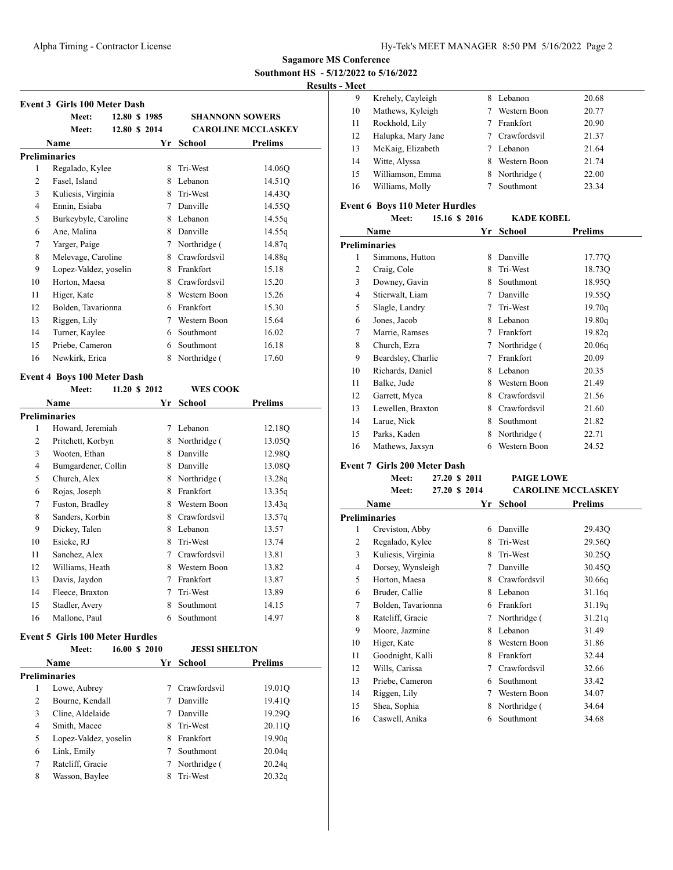**Southmont HS - 5/12/2022 to 5/16/2022**

**Results - Meet**

|                | <b>Event 3 Girls 100 Meter Dash</b>    |               |             |                      |                           |
|----------------|----------------------------------------|---------------|-------------|----------------------|---------------------------|
|                | Meet:                                  | 12.80 \$ 1985 |             |                      | <b>SHANNONN SOWERS</b>    |
|                | <b>Meet:</b>                           | 12.80 \$ 2014 |             |                      | <b>CAROLINE MCCLASKEY</b> |
|                | Name                                   |               |             | Yr School            | <b>Prelims</b>            |
|                | <b>Preliminaries</b>                   |               |             |                      |                           |
| 1              | Regalado, Kylee                        |               | 8           | Tri-West             | 14.06O                    |
| 2              | Fasel, Island                          |               |             | 8 Lebanon            | 14.51Q                    |
| 3              | Kuliesis, Virginia                     |               |             | 8 Tri-West           | 14.43Q                    |
| 4              | Ennin, Esiaba                          |               |             | 7 Danville           | 14.55Q                    |
| 5              | Burkeybyle, Caroline                   |               |             | 8 Lebanon            | 14.55q                    |
| 6              | Ane, Malina                            |               |             | 8 Danville           | 14.55q                    |
| 7              | Yarger, Paige                          |               |             | 7 Northridge (       | 14.87q                    |
| 8              | Melevage, Caroline                     |               |             | 8 Crawfordsvil       | 14.88q                    |
| 9              | Lopez-Valdez, yoselin                  |               |             | 8 Frankfort          | 15.18                     |
| 10             | Horton, Maesa                          |               |             | 8 Crawfordsvil       | 15.20                     |
| 11             | Higer, Kate                            |               |             | 8 Western Boon       | 15.26                     |
| 12             | Bolden, Tavarionna                     |               |             | 6 Frankfort          | 15.30                     |
| 13             | Riggen, Lily                           |               |             | 7 Western Boon       | 15.64                     |
| 14             | Turner, Kaylee                         |               |             | 6 Southmont          | 16.02                     |
| 15             | Priebe, Cameron                        |               |             | 6 Southmont          | 16.18                     |
| 16             | Newkirk, Erica                         |               | 8           | Northridge (         | 17.60                     |
|                | <b>Event 4 Boys 100 Meter Dash</b>     |               |             |                      |                           |
|                | Meet:                                  | 11.20 \$ 2012 |             | <b>WES COOK</b>      |                           |
|                | Name                                   |               | Yr          | School               | Prelims                   |
|                | Preliminaries                          |               |             |                      |                           |
| 1              | Howard, Jeremiah                       |               |             | 7 Lebanon            | 12.18Q                    |
| 2              | Pritchett, Korbyn                      |               |             | 8 Northridge (       | 13.05Q                    |
| 3              | Wooten, Ethan                          |               |             | 8 Danville           | 12.98Q                    |
| 4              | Bumgardener, Collin                    |               |             | 8 Danville           | 13.08Q                    |
| 5              | Church, Alex                           |               |             | 8 Northridge (       | 13.28q                    |
| 6              | Rojas, Joseph                          |               |             | 8 Frankfort          | 13.35q                    |
| 7              | Fuston, Bradley                        |               |             | 8 Western Boon       | 13.43q                    |
| 8              | Sanders, Korbin                        |               |             | 8 Crawfordsvil       | 13.57q                    |
| 9              | Dickey, Talen                          |               |             | 8 Lebanon            | 13.57                     |
| 10             | Esieke, RJ                             |               |             | 8 Tri-West           | 13.74                     |
| 11             | Sanchez, Alex                          |               |             | 7 Crawfordsvil       | 13.81                     |
| 12             | Williams, Heath                        |               |             | 8 Western Boon       | 13.82                     |
| 13             | Davis, Jaydon                          |               | 7           | Frankfort            | 13.87                     |
| 14             | Fleece, Braxton                        |               | 7           | Tri-West             | 13.89                     |
| 15             | Stadler, Avery                         |               | 8           | Southmont            | 14.15                     |
| 16             | Mallone, Paul                          |               | 6           | Southmont            | 14.97                     |
|                |                                        |               |             |                      |                           |
|                | <b>Event 5 Girls 100 Meter Hurdles</b> |               |             |                      |                           |
|                | Meet:                                  | 16.00 \$ 2010 |             | <b>JESSI SHELTON</b> |                           |
|                | <b>Name</b>                            |               | Yr          | School               | Prelims                   |
|                | <b>Preliminaries</b>                   |               |             |                      |                           |
| 1              | Lowe, Aubrey                           |               | $7^{\circ}$ | Crawfordsvil         | 19.01Q                    |
| 2              | Bourne, Kendall                        |               |             | 7 Danville           | 19.41Q                    |
| 3              | Cline, Aldelaide                       |               |             | 7 Danville           | 19.29Q                    |
| $\overline{4}$ | Smith, Macee                           |               | 8           | Tri-West             | 20.11Q                    |
| 5              | Lopez-Valdez, yoselin                  |               |             | 8 Frankfort          | 19.90q                    |
| 6              | Link, Emily                            |               |             | 7 Southmont          | 20.04q                    |

 Ratcliff, Gracie 7 Northridge ( 20.24q 8 Wasson, Baylee 8 Tri-West 20.32q

| vicci |                    |   |                |       |
|-------|--------------------|---|----------------|-------|
| 9     | Krehely, Cayleigh  | 8 | Lebanon        | 20.68 |
| 10    | Mathews, Kyleigh   |   | Western Boon   | 20.77 |
| 11    | Rockhold, Lily     |   | Frankfort      | 20.90 |
| 12    | Halupka, Mary Jane |   | 7 Crawfordsvil | 21.37 |
| 13    | McKaig, Elizabeth  |   | Lebanon        | 21.64 |
| 14    | Witte, Alyssa      | 8 | Western Boon   | 21.74 |
| 15    | Williamson, Emma   |   | 8 Northridge ( | 22.00 |
| 16    | Williams, Molly    |   | Southmont      | 23.34 |
|       |                    |   |                |       |

#### **Event 6 Boys 110 Meter Hurdles**

|    | Meet:                | 15.16 \$ 2016 | <b>KADE KOBEL</b> |                |
|----|----------------------|---------------|-------------------|----------------|
|    | Name                 | Yr            | School            | <b>Prelims</b> |
|    | <b>Preliminaries</b> |               |                   |                |
| 1  | Simmons, Hutton      | 8             | Danville          | 17.77Q         |
| 2  | Craig, Cole          | 8             | Tri-West          | 18.73Q         |
| 3  | Downey, Gavin        | 8             | Southmont         | 18.95Q         |
| 4  | Stierwalt, Liam      | 7             | Danville          | 19.55Q         |
| 5  | Slagle, Landry       | 7             | Tri-West          | 19.70q         |
| 6  | Jones, Jacob         | 8             | Lebanon           | 19.80q         |
| 7  | Marrie, Ramses       | 7             | Frankfort         | 19.82q         |
| 8  | Church, Ezra         | 7             | Northridge (      | 20.06q         |
| 9  | Beardsley, Charlie   | 7             | Frankfort         | 20.09          |
| 10 | Richards, Daniel     | 8             | Lebanon           | 20.35          |
| 11 | Balke, Jude          | 8             | Western Boon      | 21.49          |
| 12 | Garrett, Myca        | 8             | Crawfordsvil      | 21.56          |
| 13 | Lewellen, Braxton    | 8             | Crawfordsvil      | 21.60          |
| 14 | Larue, Nick          | 8             | Southmont         | 21.82          |
| 15 | Parks, Kaden         | 8             | Northridge (      | 22.71          |
| 16 | Mathews, Jaxsyn      | 6             | Western Boon      | 24.52          |
|    |                      |               |                   |                |

## **Event 7 Girls 200 Meter Dash**

|    | Meet:                | 27.20 \$ 2011 | PAIGE LOWE   |                           |
|----|----------------------|---------------|--------------|---------------------------|
|    | Meet:                | 27.20 \$ 2014 |              | <b>CAROLINE MCCLASKEY</b> |
|    | Name                 | Yr            | School       | <b>Prelims</b>            |
|    | <b>Preliminaries</b> |               |              |                           |
| 1  | Creviston, Abby      | 6             | Danville     | 29.43Q                    |
| 2  | Regalado, Kylee      | 8             | Tri-West     | 29.56O                    |
| 3  | Kuliesis, Virginia   | 8             | Tri-West     | 30.25Q                    |
| 4  | Dorsey, Wynsleigh    | 7             | Danville     | 30.45Q                    |
| 5  | Horton, Maesa        | 8             | Crawfordsvil | 30.66q                    |
| 6  | Bruder, Callie       | 8             | Lebanon      | 31.16q                    |
| 7  | Bolden, Tavarionna   | 6             | Frankfort    | 31.19q                    |
| 8  | Ratcliff, Gracie     | 7             | Northridge ( | 31.21q                    |
| 9  | Moore, Jazmine       | 8             | Lebanon      | 31.49                     |
| 10 | Higer, Kate          | 8             | Western Boon | 31.86                     |
| 11 | Goodnight, Kalli     | 8             | Frankfort    | 32.44                     |
| 12 | Wills, Carissa       | 7             | Crawfordsvil | 32.66                     |
| 13 | Priebe, Cameron      | 6             | Southmont    | 33.42                     |
| 14 | Riggen, Lily         | 7             | Western Boon | 34.07                     |
| 15 | Shea, Sophia         | 8             | Northridge ( | 34.64                     |
| 16 | Caswell, Anika       | 6             | Southmont    | 34.68                     |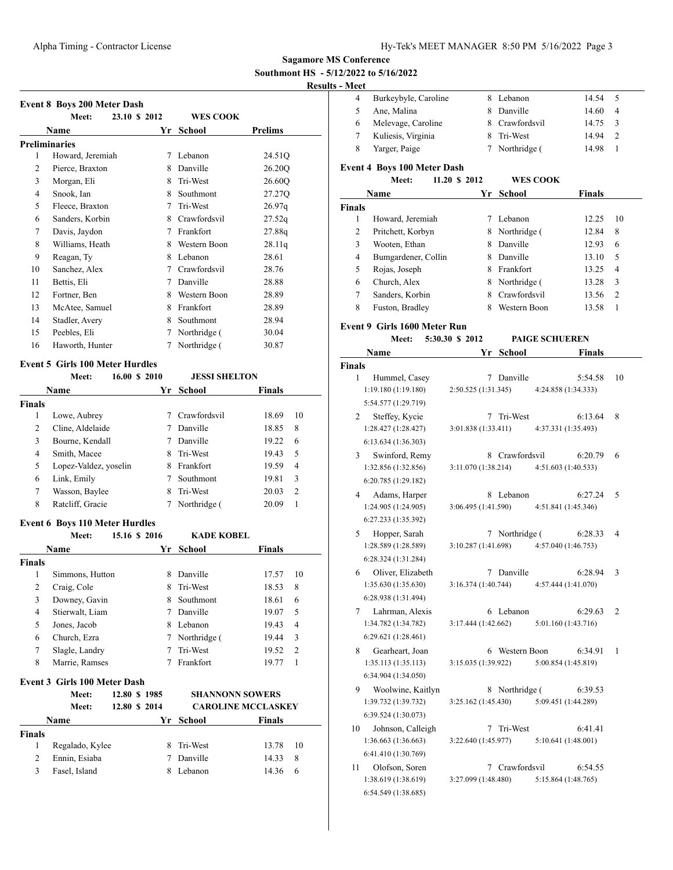**Southmont HS - 5/12/2022 to 5/16/2022**

# **Results -**

|                | Meet:                                           | 23.10 \$ 2012 | <b>WES COOK</b>                       |                         |
|----------------|-------------------------------------------------|---------------|---------------------------------------|-------------------------|
|                | <b>Name</b>                                     |               | Yr School                             | <b>Prelims</b>          |
|                | Preliminaries                                   |               |                                       |                         |
| 1              | Howard, Jeremiah                                |               | 7 Lebanon                             | 24.51Q                  |
| 2              | Pierce, Braxton                                 |               | 8 Danville                            | 26.20Q                  |
| 3              | Morgan, Eli                                     |               | 8 Tri-West                            | 26.60Q                  |
| $\overline{4}$ | Snook, Ian                                      |               | 8 Southmont                           | 27.27Q                  |
| 5              | Fleece, Braxton                                 |               | 7 Tri-West                            | 26.97q                  |
| 6              | Sanders, Korbin                                 |               | 8 Crawfordsvil                        | 27.52q                  |
| 7              | Davis, Jaydon                                   |               | 7 Frankfort                           | 27.88q                  |
| 8              | Williams, Heath                                 |               | 8 Western Boon                        | 28.11q                  |
| 9              | Reagan, Ty                                      |               | 8 Lebanon                             | 28.61                   |
| 10             | Sanchez, Alex                                   |               | 7 Crawfordsvil                        | 28.76                   |
| 11             | Bettis, Eli                                     |               | 7 Danville                            | 28.88                   |
| 12             | Fortner, Ben                                    |               | 8 Western Boon                        | 28.89                   |
| 13             | McAtee, Samuel                                  |               | 8 Frankfort                           | 28.89                   |
| 14             | Stadler, Avery                                  |               | 8 Southmont                           | 28.94                   |
| 15             | Peebles, Eli                                    | 7             | Northridge (                          | 30.04                   |
| 16             | Haworth, Hunter                                 | $7^{\circ}$   | Northridge (                          | 30.87                   |
|                |                                                 |               |                                       |                         |
|                | <b>Event 5 Girls 100 Meter Hurdles</b><br>Meet: | 16.00 \$ 2010 |                                       |                         |
|                |                                                 |               | <b>JESSI SHELTON</b><br><b>School</b> |                         |
|                | Name                                            | Yr            |                                       | Finals                  |
| Finals<br>1    | Lowe, Aubrey                                    |               | 7 Crawfordsvil                        | 18.69<br>10             |
| 2              | Cline, Aldelaide                                |               | 7 Danville                            | 8<br>18.85              |
| 3              | Bourne, Kendall                                 |               | 7 Danville                            | 19.22<br>6              |
| $\overline{4}$ | Smith, Macee                                    |               | 8 Tri-West                            | 5<br>19.43              |
| 5              | Lopez-Valdez, yoselin                           |               | 8 Frankfort                           | $\overline{4}$<br>19.59 |
| 6              | Link, Emily                                     |               | 7 Southmont                           | 19.81<br>3              |
| 7              | Wasson, Baylee                                  |               | 8 Tri-West                            | 2<br>20.03              |
| 8              | Ratcliff, Gracie                                | 7             | Northridge (                          | 1<br>20.09              |
|                |                                                 |               |                                       |                         |
|                | <b>Event 6 Boys 110 Meter Hurdles</b>           |               |                                       |                         |
|                | Meet:                                           | 15.16 \$ 2016 | <b>KADE KOBEL</b>                     |                         |
|                | Name                                            |               | Yr School                             | <b>Finals</b>           |
| Finals         |                                                 |               |                                       |                         |
| 1              | Simmons, Hutton                                 | 8             | Danville                              | 17.57<br>10             |
| $\mathbf{2}$   | Craig, Cole                                     | 8             | Tri-West                              | 18.53<br>8              |
| 3              | Downey, Gavin                                   | 8             | Southmont                             | 18.61<br>6              |
| $\overline{4}$ | Stierwalt, Liam                                 |               | 7 Danville                            | 5<br>19.07              |
| 5              | Jones, Jacob                                    |               | 8 Lebanon                             | 4<br>19.43              |
| 6              | Church, Ezra                                    |               | 7 Northridge (                        | 3<br>19.44              |
| 7              | Slagle, Landry                                  | 7             | Tri-West                              | 2<br>19.52              |
|                |                                                 | $7^{\circ}$   | Frankfort                             | 19.77<br>1              |
| 8              | Marrie, Ramses                                  |               |                                       |                         |
|                | Event 3 Girls 100 Meter Dash                    |               |                                       |                         |

|        | Meet:           | 12.80 \$ 1985 |            | <b>SHANNONN SOWERS</b>    |      |
|--------|-----------------|---------------|------------|---------------------------|------|
|        | Meet:           | 12.80 \$ 2014 |            | <b>CAROLINE MCCLASKEY</b> |      |
|        | Name            |               | Yr School  | <b>Finals</b>             |      |
| Finals |                 |               |            |                           |      |
|        | Regalado, Kylee |               | 8 Tri-West | 13.78                     | - 10 |
|        | Ennin, Esiaba   |               | Danville   | 14.33                     | 8    |
|        | Fasel, Island   |               | Lebanon    | 14.36                     | 6    |
|        |                 |               |            |                           |      |

| - Meet             |                                              |                     |                |                                |    |
|--------------------|----------------------------------------------|---------------------|----------------|--------------------------------|----|
| 4                  | Burkeybyle, Caroline                         |                     | 8 Lebanon      | 14.54                          | 5  |
| 5                  | Ane, Malina                                  |                     | 8 Danville     | 14.60                          | 4  |
| 6                  | Melevage, Caroline                           |                     | 8 Crawfordsvil | 14.75                          | 3  |
| 7                  | Kuliesis, Virginia                           |                     | 8 Tri-West     | 14.94                          | 2  |
| 8                  | Yarger, Paige                                | 7                   | Northridge (   | 14.98                          | 1  |
|                    | <b>Event 4 Boys 100 Meter Dash</b>           |                     |                |                                |    |
|                    | Meet:                                        | 11.20 \$ 2012       |                | <b>WES COOK</b>                |    |
|                    | Name                                         | Yr                  | School         | <b>Finals</b>                  |    |
| <b>Finals</b>      |                                              |                     |                |                                |    |
| 1                  | Howard, Jeremiah                             |                     | 7 Lebanon      | 12.25                          | 10 |
| 2                  | Pritchett, Korbyn                            |                     | 8 Northridge ( | 12.84                          | 8  |
| 3                  | Wooten, Ethan                                |                     | 8 Danville     | 12.93                          | 6  |
| 4                  | Bumgardener, Collin                          |                     | 8 Danville     | 13.10                          | 5  |
| 5                  | Rojas, Joseph                                |                     | 8 Frankfort    | 13.25                          | 4  |
| 6                  | Church, Alex                                 |                     | 8 Northridge ( | 13.28                          | 3  |
| 7                  | Sanders, Korbin                              |                     | 8 Crawfordsvil | 13.56                          | 2  |
| 8                  | Fuston, Bradley                              |                     | 8 Western Boon | 13.58                          | 1  |
|                    |                                              |                     |                |                                |    |
|                    | <b>Event 9 Girls 1600 Meter Run</b><br>Meet: | 5:30.30 \$ 2012     |                | <b>PAIGE SCHUEREN</b>          |    |
|                    | Name                                         | Yr                  | <b>School</b>  | Finals                         |    |
|                    |                                              |                     |                |                                |    |
| <b>Finals</b><br>1 | Hummel, Casey                                |                     | 7 Danville     | 5:54.58                        | 10 |
|                    | 1:19.180(1:19.180)                           | 2:50.525 (1:31.345) |                | 4:24.858 (1:34.333)            |    |
|                    | 5:54.577 (1:29.719)                          |                     |                |                                |    |
| 2                  | Steffey, Kycie                               |                     | 7 Tri-West     | 6:13.64                        | 8  |
|                    | 1:28.427 (1:28.427)                          | 3:01.838(1:33.411)  |                | 4:37.331 (1:35.493)            |    |
|                    | 6:13.634 (1:36.303)                          |                     |                |                                |    |
|                    |                                              |                     |                |                                |    |
| 3                  | Swinford, Remy<br>1:32.856 (1:32.856)        | 3:11.070 (1:38.214) | 8 Crawfordsvil | 6:20.79<br>4:51.603 (1:40.533) | 6  |
|                    |                                              |                     |                |                                |    |
|                    | 6:20.785 (1:29.182)                          |                     |                |                                |    |
| $4 \quad$          | Adams, Harper<br>1:24.905 (1:24.905)         |                     | 8 Lebanon      | 6:27.24<br>4:51.841 (1:45.346) | 5  |
|                    |                                              | 3:06.495 (1:41.590) |                |                                |    |
|                    | 6:27.233 (1:35.392)                          |                     |                |                                |    |
| 5                  | Hopper, Sarah                                |                     | 7 Northridge ( | 6:28.33                        | 4  |
|                    | 1:28.589 (1:28.589)                          | 3:10.287 (1:41.698) |                | 4:57.040 (1:46.753)            |    |
|                    | 6:28.324 (1:31.284)                          |                     |                |                                |    |
|                    | 6 Oliver, Elizabeth                          |                     | 7 Danville     | 6:28.94                        | 3  |
|                    | 1:35.630 (1:35.630)                          | 3:16.374(1:40.744)  |                | 4:57.444 (1:41.070)            |    |
|                    | 6:28.938 (1:31.494)                          |                     |                |                                |    |
| 7                  | Lahrman, Alexis                              |                     | 6 Lebanon      | 6:29.63                        | 2  |
|                    | 1:34.782 (1:34.782)                          | 3:17.444 (1:42.662) |                | 5:01.160 (1:43.716)            |    |
|                    | 6:29.621 (1:28.461)                          |                     |                |                                |    |
| 8                  | Gearheart, Joan                              |                     | 6 Western Boon | 6:34.91                        | 1  |
|                    | 1:35.113(1:35.113)                           | 3:15.035 (1:39.922) |                | 5:00.854 (1:45.819)            |    |
|                    | 6:34.904 (1:34.050)                          |                     |                |                                |    |
| 9                  | Woolwine, Kaitlyn                            |                     | 8 Northridge ( | 6:39.53                        |    |
|                    | 1:39.732 (1:39.732)                          | 3:25.162 (1:45.430) |                | 5:09.451 (1:44.289)            |    |
|                    | 6:39.524 (1:30.073)                          |                     |                |                                |    |
| 10                 | Johnson, Calleigh                            |                     | 7 Tri-West     | 6:41.41                        |    |
|                    | 1:36.663 (1:36.663)                          | 3:22.640 (1:45.977) |                | 5:10.641 (1:48.001)            |    |
|                    | 6:41.410 (1:30.769)                          |                     |                |                                |    |
| 11                 | Olofson, Soren                               |                     | 7 Crawfordsvil | 6:54.55                        |    |
|                    | 1:38.619 (1:38.619)                          | 3:27.099 (1:48.480) |                | 5:15.864 (1:48.765)            |    |
|                    | 6:54.549 (1:38.685)                          |                     |                |                                |    |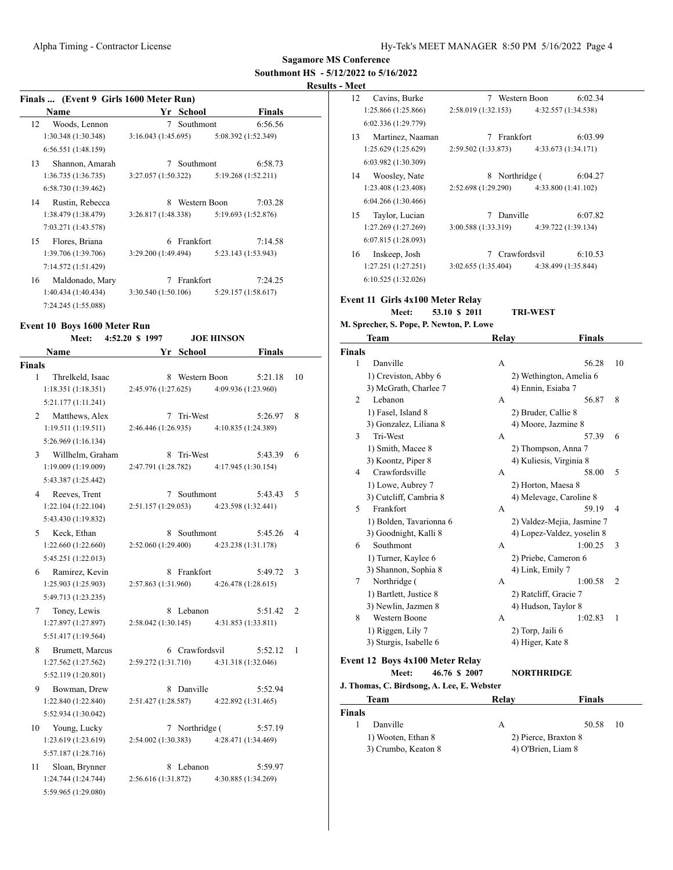#### **Results - Meet**

|                             | Finals  (Event 9 Girls 1600 Meter Run) |                     |               |                     |               |    |
|-----------------------------|----------------------------------------|---------------------|---------------|---------------------|---------------|----|
|                             | Name                                   |                     | Yr School     |                     | <b>Finals</b> |    |
| 12                          | Woods, Lennon                          | $7\overline{ }$     | Southmont     |                     | 6:56.56       |    |
|                             | 1:30.348(1:30.348)                     | 3:16.043(1:45.695)  |               | 5:08.392 (1:52.349) |               |    |
|                             | 6:56.551(1:48.159)                     |                     |               |                     |               |    |
| 13                          | Shannon, Amarah                        |                     | 7 Southmont   |                     | 6:58.73       |    |
|                             | 1:36.735(1:36.735)                     | 3:27.057 (1:50.322) |               | 5:19.268 (1:52.211) |               |    |
|                             | 6:58.730 (1:39.462)                    |                     |               |                     |               |    |
| 14                          | Rustin, Rebecca                        | 8.                  | Western Boon  |                     | 7:03.28       |    |
|                             | 1:38.479(1:38.479)                     | 3:26.817(1:48.338)  |               | 5:19.693 (1:52.876) |               |    |
|                             | 7:03.271 (1:43.578)                    |                     |               |                     |               |    |
| 15                          | Flores, Briana                         | 6                   | Frankfort     |                     | 7:14.58       |    |
|                             | 1:39.706(1:39.706)                     | 3:29.200 (1:49.494) |               | 5:23.143 (1:53.943) |               |    |
|                             | 7:14.572 (1:51.429)                    |                     |               |                     |               |    |
| 16                          | Maldonado, Mary                        |                     | 7 Frankfort   |                     | 7:24.25       |    |
|                             | 1:40.434(1:40.434)                     | 3:30.540(1:50.106)  |               | 5:29.157 (1:58.617) |               |    |
|                             | 7:24.245 (1:55.088)                    |                     |               |                     |               |    |
|                             |                                        |                     |               |                     |               |    |
|                             | Event 10 Boys 1600 Meter Run           |                     |               |                     |               |    |
|                             | Meet:                                  | 4:52.20 \$ 1997     |               | <b>JOE HINSON</b>   |               |    |
|                             | Name                                   | Yr                  | <b>School</b> |                     | <b>Finals</b> |    |
| Finals                      |                                        |                     |               |                     |               |    |
| 1                           | Threlkeld, Isaac                       | 8                   | Western Boon  |                     | 5:21.18       | 10 |
|                             | 1:18.351(1:18.351)                     | 2:45.976 (1:27.625) |               | 4:09.936 (1:23.960) |               |    |
|                             | 5:21.177 (1:11.241)                    |                     |               |                     |               |    |
| $\mathcal{D}_{\mathcal{L}}$ | Matthews, Alex                         |                     | 7 Tri-West    |                     | 5:26.97       | 8  |
|                             | 1:19.511(1:19.511)                     | 2:46.446 (1:26.935) |               | 4:10.835 (1:24.389) |               |    |

| 5:26.969(1:16.134)  |                     |                     |   |
|---------------------|---------------------|---------------------|---|
| Willhelm, Graham    | 8 Tri-West          | 5:43.39             | 6 |
| 1:19.009(1:19.009)  | 2:47.791 (1:28.782) | 4:17.945 (1:30.154) |   |
| 5:43.387 (1:25.442) |                     |                     |   |
| Reeves, Trent       | Southmont           | 5:43.43             |   |

| 1:22.104(1:22.104)  | 2:51.157(1:29.053) | 4:23.598 (1:32.441) |                |
|---------------------|--------------------|---------------------|----------------|
| 5:43.430 (1:19.832) |                    |                     |                |
| Keck. Ethan         | 8 Southmont        | 5:45.26             | $\overline{4}$ |

1:22.660 (1:22.660) 2:52.060 (1:29.400) 4:23.238 (1:31.178) 5:45.251 (1:22.013)

6 Ramirez, Kevin 8 Frankfort 5:49.72 3<br>1:25.903 (1:25.903) 2:57.863 (1:31.960) 4:26.478 (1:28.615) 1:25.903 (1:25.903) 2:57.863 (1:31.960) 4:26.478 (1:28.615) 5:49.713 (1:23.235)

7 Toney, Lewis 8 Lebanon 5:51.42 2 1:27.897 (1:27.897) 2:58.042 (1:30.145) 4:31.853 (1:33.811) 5:51.417 (1:19.564)

8 Brumett, Marcus 6 Crawfordsvil 5:52.12 1 1:27.562 (1:27.562) 2:59.272 (1:31.710) 4:31.318 (1:32.046) 5:52.119 (1:20.801)

9 Bowman, Drew 8 Danville 5:52.94 1:22.840 (1:22.840) 2:51.427 (1:28.587) 4:22.892 (1:31.465) 5:52.934 (1:30.042) 10 Young, Lucky 7 Northridge (5:57.19 1:23.619 (1:23.619) 2:54.002 (1:30.383) 4:28.471 (1:34.469)

5:57.187 (1:28.716) 11 Sloan, Brynner 8 Lebanon 5:59.97

1:24.744 (1:24.744) 2:56.616 (1:31.872) 4:30.885 (1:34.269) 5:59.965 (1:29.080)

| 12 | Cavins, Burke       | 7                   | Western Boon        | 6:02.34 |
|----|---------------------|---------------------|---------------------|---------|
|    | 1:25.866 (1:25.866) | 2:58.019 (1:32.153) | 4:32.557 (1:34.538) |         |
|    | 6:02.336 (1:29.779) |                     |                     |         |
| 13 | Martinez, Naaman    | 7                   | Frankfort           | 6:03.99 |
|    | 1:25.629 (1:25.629) | 2:59.502 (1:33.873) | 4:33.673 (1:34.171) |         |
|    | 6:03.982 (1:30.309) |                     |                     |         |
| 14 | Woosley, Nate       | 8                   | Northridge (        | 6:04.27 |
|    | 1:23.408 (1:23.408) | 2:52.698 (1:29.290) | 4:33.800 (1:41.102) |         |
|    | 6:04.266(1:30.466)  |                     |                     |         |
| 15 | Taylor, Lucian      | 7                   | Danville            | 6:07.82 |
|    | 1:27.269 (1:27.269) | 3:00.588 (1:33.319) | 4:39.722 (1:39.134) |         |
|    | 6:07.815(1:28.093)  |                     |                     |         |
| 16 | Inskeep, Josh       |                     | Crawfordsvil        | 6:10.53 |
|    | 1:27.251 (1:27.251) | 3:02.655(1:35.404)  | 4:38.499 (1:35.844) |         |
|    | 6:10.525(1:32.026)  |                     |                     |         |

### **Event 11 Girls 4x100 Meter Relay**

#### **Meet: 53.10 \$ 2011 TRI-WEST**

#### **M. Sprecher, S. Pope, P. Newton, P. Lowe**

|                | Team                                   | Relay | <b>Finals</b>              |                |
|----------------|----------------------------------------|-------|----------------------------|----------------|
| <b>Finals</b>  |                                        |       |                            |                |
| 1              | Danville                               | A     | 56.28                      | 10             |
|                | 1) Creviston, Abby 6                   |       | 2) Wethington, Amelia 6    |                |
|                | 3) McGrath, Charlee 7                  |       | 4) Ennin, Esiaba 7         |                |
| $\overline{c}$ | Lebanon                                | A     | 56.87                      | 8              |
|                | 1) Fasel, Island 8                     |       | 2) Bruder, Callie 8        |                |
|                | 3) Gonzalez, Liliana 8                 |       | 4) Moore, Jazmine 8        |                |
| 3              | Tri-West                               | A     | 57.39                      | 6              |
|                | 1) Smith, Macee 8                      |       | 2) Thompson, Anna 7        |                |
|                | 3) Koontz, Piper 8                     |       | 4) Kuliesis, Virginia 8    |                |
| 4              | Crawfordsville                         | A     | 58.00                      | 5              |
|                | 1) Lowe, Aubrey 7                      |       | 2) Horton, Maesa 8         |                |
|                | 3) Cutcliff, Cambria 8                 |       | 4) Melevage, Caroline 8    |                |
| 5              | Frankfort                              | A     | 59.19                      | $\overline{4}$ |
|                | 1) Bolden, Tavarionna 6                |       | 2) Valdez-Mejia, Jasmine 7 |                |
|                | 3) Goodnight, Kalli 8                  |       | 4) Lopez-Valdez, yoselin 8 |                |
| 6              | Southmont                              | A     | 1:00.25                    | 3              |
|                | 1) Turner, Kaylee 6                    |       | 2) Priebe, Cameron 6       |                |
|                | 3) Shannon, Sophia 8                   |       | 4) Link, Emily 7           |                |
| 7              | Northridge (                           | A     | 1:00.58                    | $\overline{2}$ |
|                | 1) Bartlett, Justice 8                 |       | 2) Ratcliff, Gracie 7      |                |
|                | 3) Newlin, Jazmen 8                    |       | 4) Hudson, Taylor 8        |                |
| 8              | <b>Western Boone</b>                   | A     | 1:02.83                    | 1              |
|                | 1) Riggen, Lily 7                      |       | 2) Torp, Jaili 6           |                |
|                | 3) Sturgis, Isabelle 6                 |       | 4) Higer, Kate 8           |                |
|                | <b>Event 12 Boys 4x100 Meter Relay</b> |       |                            |                |
|                | 46.76 \$ 2007<br>Meet:                 |       | <b>NORTHRIDGE</b>          |                |

| J. Thomas, C. Birdsong, A. Lee, E. Webster |                    |                      |  |  |  |  |  |
|--------------------------------------------|--------------------|----------------------|--|--|--|--|--|
| Team                                       | Relav              | <b>Finals</b>        |  |  |  |  |  |
| <b>Finals</b>                              |                    |                      |  |  |  |  |  |
| Danville                                   | А                  | -10<br>50.58         |  |  |  |  |  |
| 1) Wooten, Ethan 8                         |                    | 2) Pierce, Braxton 8 |  |  |  |  |  |
| 3) Crumbo, Keaton 8                        | 4) O'Brien, Liam 8 |                      |  |  |  |  |  |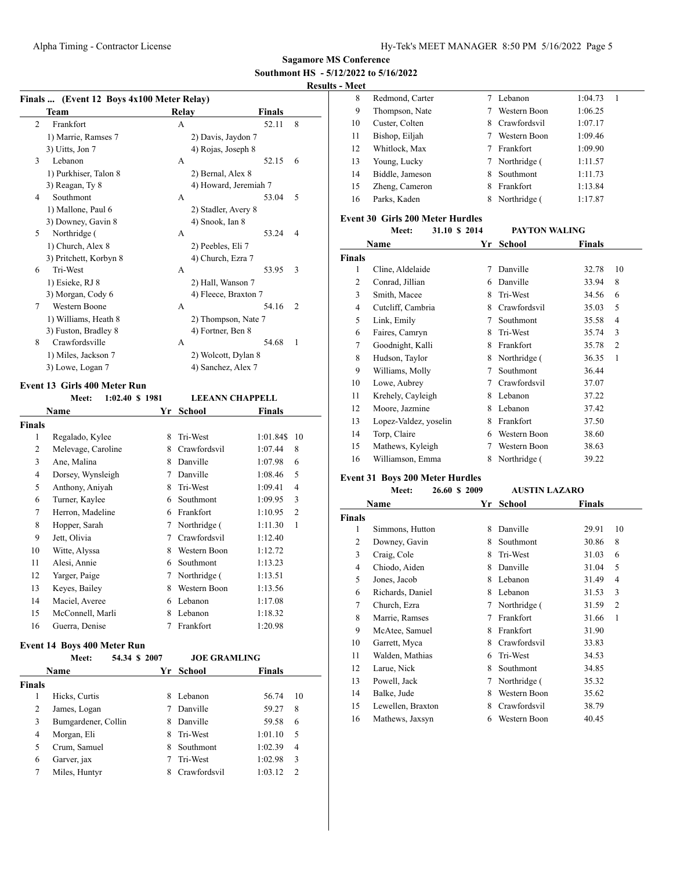# **Results - Meet**

|                | Finals  (Event 12 Boys 4x100 Meter Relay) |          |                        |               |                |
|----------------|-------------------------------------------|----------|------------------------|---------------|----------------|
|                | Team                                      |          | Relay                  | <b>Finals</b> |                |
| 2              | Frankfort                                 |          | A                      | 52.11         | 8              |
|                | 1) Marrie, Ramses 7                       |          | 2) Davis, Jaydon 7     |               |                |
|                | 3) Uitts, Jon 7                           |          | 4) Rojas, Joseph 8     |               |                |
| 3              | Lebanon                                   |          | A                      | 52.15         | 6              |
|                | 1) Purkhiser, Talon 8                     |          | 2) Bernal, Alex 8      |               |                |
|                | 3) Reagan, Ty 8                           |          | 4) Howard, Jeremiah 7  |               |                |
| 4              | Southmont                                 |          | A                      | 53.04         | 5              |
|                | 1) Mallone, Paul 6                        |          | 2) Stadler, Avery 8    |               |                |
|                | 3) Downey, Gavin 8                        |          | 4) Snook, Ian 8        |               |                |
| 5              | Northridge (                              |          | A                      | 53.24         | $\overline{4}$ |
|                | 1) Church, Alex 8                         |          | 2) Peebles, Eli 7      |               |                |
|                | 3) Pritchett, Korbyn 8                    |          | 4) Church, Ezra 7      |               |                |
| 6              | Tri-West                                  |          | А                      | 53.95         | 3              |
|                | 1) Esieke, RJ 8                           |          | 2) Hall, Wanson 7      |               |                |
|                | 3) Morgan, Cody 6                         |          | 4) Fleece, Braxton 7   |               |                |
| 7              | <b>Western Boone</b>                      |          | А                      | 54.16         | $\overline{2}$ |
|                | 1) Williams, Heath 8                      |          | 2) Thompson, Nate 7    |               |                |
|                | 3) Fuston, Bradley 8                      |          | 4) Fortner, Ben 8      |               |                |
| 8              | Crawfordsville                            |          | А                      | 54.68         | 1              |
|                | 1) Miles, Jackson 7                       |          | 2) Wolcott, Dylan 8    |               |                |
|                | 3) Lowe, Logan 7                          |          | 4) Sanchez, Alex 7     |               |                |
|                | Event 13 Girls 400 Meter Run              |          |                        |               |                |
|                | 1:02.40 \$ 1981<br>Meet:                  |          | <b>LEEANN CHAPPELL</b> |               |                |
|                | Name                                      | Yr       | <b>School</b>          | <b>Finals</b> |                |
| Finals         |                                           |          |                        |               |                |
| 1              | Regalado, Kylee                           | 8        | Tri-West               | 1:01.84\$     | 10             |
| 2              | Melevage, Caroline                        | 8.       | Crawfordsvil           | 1:07.44       | 8              |
| 3              | Ane, Malina                               | 8        | Danville               | 1:07.98       | 6              |
| $\overline{4}$ | Dorsey, Wynsleigh                         | 7        | Danville               | 1:08.46       | 5              |
| $\epsilon$     | $\lambda$ and $\lambda$ and $\lambda$     | $\Omega$ | $T''$ $T''$            | 1.00.11       | $\overline{A}$ |

| 4  | Dorsey, Wynsleigh |    | Danville     | 1:08.46 | C |  |
|----|-------------------|----|--------------|---------|---|--|
| 5  | Anthony, Aniyah   | 8  | Tri-West     | 1:09.41 | 4 |  |
| 6  | Turner, Kaylee    | 6  | Southmont    | 1:09.95 | 3 |  |
| 7  | Herron, Madeline  | 6  | Frankfort    | 1:10.95 | 2 |  |
| 8  | Hopper, Sarah     | 7  | Northridge ( | 1:11.30 | 1 |  |
| 9  | Jett, Olivia      | 7  | Crawfordsvil | 1:12.40 |   |  |
| 10 | Witte, Alyssa     | 8  | Western Boon | 1:12.72 |   |  |
| 11 | Alesi, Annie      | 6. | Southmont    | 1:13.23 |   |  |
| 12 | Yarger, Paige     | 7  | Northridge ( | 1:13.51 |   |  |
| 13 | Keyes, Bailey     | 8  | Western Boon | 1:13.56 |   |  |
| 14 | Maciel, Averee    | 6  | Lebanon      | 1:17.08 |   |  |
| 15 | McConnell, Marli  | 8  | Lebanon      | 1:18.32 |   |  |
| 16 | Guerra, Denise    |    | Frankfort    | 1:20.98 |   |  |

#### **Event 14 Boys 400 Meter Run**

|               | Meet:               | 54.34 \$ 2007 |   | <b>JOE GRAMLING</b> |               |    |
|---------------|---------------------|---------------|---|---------------------|---------------|----|
|               | Name                |               |   | Yr School           | <b>Finals</b> |    |
| <b>Finals</b> |                     |               |   |                     |               |    |
|               | Hicks, Curtis       |               | 8 | Lebanon             | 56.74         | 10 |
| 2             | James, Logan        |               |   | Danville            | 59.27         | 8  |
| 3             | Bumgardener, Collin |               | 8 | Danville            | 59.58         | 6  |
| 4             | Morgan, Eli         |               | 8 | Tri-West            | 1:01.10       | 5  |
| 5             | Crum, Samuel        |               | 8 | Southmont           | 1:02.39       | 4  |
| 6             | Garver, jax         |               |   | Tri-West            | 1:02.98       | 3  |
|               | Miles, Huntyr       |               |   | Crawfordsvil        | 1:03.12       | 2  |

| ivitet |                 |   |              |         |   |
|--------|-----------------|---|--------------|---------|---|
| 8      | Redmond, Carter |   | Lebanon      | 1:04.73 | 1 |
| 9      | Thompson, Nate  |   | Western Boon | 1:06.25 |   |
| 10     | Custer, Colten  | 8 | Crawfordsvil | 1:07.17 |   |
| 11     | Bishop, Eiljah  |   | Western Boon | 1:09.46 |   |
| 12     | Whitlock, Max   |   | Frankfort    | 1:09.90 |   |
| 13     | Young, Lucky    | 7 | Northridge ( | 1:11.57 |   |
| 14     | Biddle, Jameson | 8 | Southmont    | 1:11.73 |   |
| 15     | Zheng, Cameron  | 8 | Frankfort    | 1:13.84 |   |
| 16     | Parks. Kaden    | 8 | Northridge ( | 1:17.87 |   |
|        |                 |   |              |         |   |

### **Event 30 Girls 200 Meter Hurdles**

|                | 31.10 \$ 2014<br>Meet: |    | <b>PAYTON WALING</b> |               |                |
|----------------|------------------------|----|----------------------|---------------|----------------|
|                | Name                   | Yr | <b>School</b>        | <b>Finals</b> |                |
| <b>Finals</b>  |                        |    |                      |               |                |
| 1              | Cline, Aldelaide       | 7  | Danville             | 32.78         | 10             |
| 2              | Conrad, Jillian        | 6  | Danville             | 33.94         | 8              |
| 3              | Smith, Macee           | 8  | Tri-West             | 34.56         | 6              |
| $\overline{4}$ | Cutcliff, Cambria      | 8  | Crawfordsvil         | 35.03         | 5              |
| 5              | Link, Emily            | 7  | Southmont            | 35.58         | 4              |
| 6              | Faires, Camryn         | 8  | Tri-West             | 35.74         | 3              |
| 7              | Goodnight, Kalli       | 8  | Frankfort            | 35.78         | $\overline{2}$ |
| 8              | Hudson, Taylor         | 8  | Northridge (         | 36.35         | 1              |
| 9              | Williams, Molly        | 7  | Southmont            | 36.44         |                |
| 10             | Lowe, Aubrey           | 7  | Crawfordsvil         | 37.07         |                |
| 11             | Krehely, Cayleigh      | 8  | Lebanon              | 37.22         |                |
| 12             | Moore, Jazmine         | 8  | Lebanon              | 37.42         |                |
| 13             | Lopez-Valdez, yoselin  | 8  | Frankfort            | 37.50         |                |
| 14             | Torp, Claire           | 6  | Western Boon         | 38.60         |                |
| 15             | Mathews, Kyleigh       | 7  | Western Boon         | 38.63         |                |
| 16             | Williamson, Emma       | 8  | Northridge (         | 39.22         |                |

# **Event 31 Boys 200 Meter Hurdles**

|        | Meet:             | 26.60 \$ 2009 | <b>AUSTIN LAZARO</b> |        |                |
|--------|-------------------|---------------|----------------------|--------|----------------|
|        | Name              | Yr            | <b>School</b>        | Finals |                |
| Finals |                   |               |                      |        |                |
| 1      | Simmons, Hutton   | 8             | Danville             | 29.91  | 10             |
| 2      | Downey, Gavin     | 8             | Southmont            | 30.86  | 8              |
| 3      | Craig, Cole       | 8             | Tri-West             | 31.03  | 6              |
| 4      | Chiodo, Aiden     | 8             | Danville             | 31.04  | 5              |
| 5      | Jones, Jacob      | 8             | Lebanon              | 31.49  | 4              |
| 6      | Richards, Daniel  | 8             | Lebanon              | 31.53  | 3              |
| 7      | Church, Ezra      | 7             | Northridge (         | 31.59  | $\overline{2}$ |
| 8      | Marrie, Ramses    | 7             | Frankfort            | 31.66  | 1              |
| 9      | McAtee, Samuel    | 8             | Frankfort            | 31.90  |                |
| 10     | Garrett, Myca     | 8             | Crawfordsvil         | 33.83  |                |
| 11     | Walden, Mathias   | 6             | Tri-West             | 34.53  |                |
| 12     | Larue, Nick       | 8             | Southmont            | 34.85  |                |
| 13     | Powell, Jack      | 7             | Northridge (         | 35.32  |                |
| 14     | Balke, Jude       | 8             | Western Boon         | 35.62  |                |
| 15     | Lewellen, Braxton | 8             | Crawfordsvil         | 38.79  |                |
| 16     | Mathews, Jaxsyn   | 6             | Western Boon         | 40.45  |                |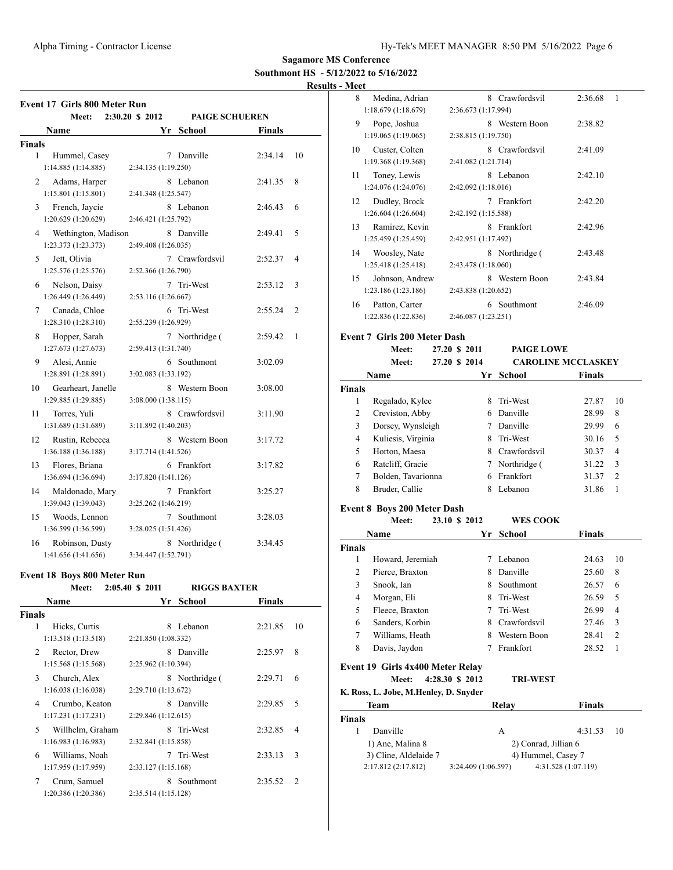### **Results - Meet**

|                    | <b>Event 17 Girls 800 Meter Run</b>   |                                          |         |    |
|--------------------|---------------------------------------|------------------------------------------|---------|----|
|                    | Meet:                                 | 2:30.20 \$ 2012<br><b>PAIGE SCHUEREN</b> |         |    |
|                    | <b>Name</b>                           | Yr<br>School                             | Finals  |    |
| <b>Finals</b>      |                                       |                                          |         |    |
| 1                  | Hummel, Casey                         | 7 Danville                               | 2:34.14 | 10 |
|                    | 1:14.885(1:14.885)                    | 2:34.135 (1:19.250)                      |         |    |
| 2                  | Adams, Harper<br>1:15.801(1:15.801)   | 8 Lebanon<br>2:41.348 (1:25.547)         | 2:41.35 | 8  |
|                    |                                       |                                          |         |    |
| 3                  | French, Jaycie<br>1:20.629 (1:20.629) | 8 Lebanon<br>2:46.421 (1:25.792)         | 2:46.43 | 6  |
|                    |                                       |                                          |         |    |
| 4                  | Wethington, Madison                   | 8 Danville                               | 2:49.41 | 5  |
|                    | 1:23.373 (1:23.373)                   | 2:49.408 (1:26.035)                      |         |    |
| 5                  | Jett, Olivia                          | 7 Crawfordsvil                           | 2:52.37 | 4  |
|                    | 1:25.576 (1:25.576)                   | 2:52.366 (1:26.790)                      |         |    |
| 6                  | Nelson, Daisy                         | 7 Tri-West                               | 2:53.12 | 3  |
|                    | 1:26.449 (1:26.449)                   | 2:53.116 (1:26.667)                      |         |    |
| 7                  | Canada, Chloe                         | 6 Tri-West                               | 2:55.24 | 2  |
|                    | 1:28.310 (1:28.310)                   | 2:55.239 (1:26.929)                      |         |    |
| 8                  | Hopper, Sarah                         | 7 Northridge (                           | 2:59.42 | 1  |
|                    | 1:27.673(1:27.673)                    | 2:59.413 (1:31.740)                      |         |    |
| 9                  | Alesi, Annie                          | 6 Southmont                              | 3:02.09 |    |
|                    | 1:28.891 (1:28.891)                   | 3:02.083 (1:33.192)                      |         |    |
| 10                 | Gearheart, Janelle                    | Western Boon<br>8                        | 3:08.00 |    |
|                    | 1:29.885 (1:29.885)                   | 3:08.000 (1:38.115)                      |         |    |
| 11                 | Torres, Yuli                          | 8 Crawfordsvil                           | 3:11.90 |    |
|                    | 1:31.689 (1:31.689)                   | 3:11.892 (1:40.203)                      |         |    |
| 12                 | Rustin, Rebecca                       | 8 Western Boon                           | 3:17.72 |    |
|                    | 1:36.188 (1:36.188)                   | 3:17.714 (1:41.526)                      |         |    |
| 13                 | Flores, Briana                        | 6 Frankfort                              | 3:17.82 |    |
|                    | 1:36.694 (1:36.694)                   | 3:17.820 (1:41.126)                      |         |    |
| 14                 | Maldonado, Mary                       | Frankfort<br>7                           | 3:25.27 |    |
|                    | 1:39.043 (1:39.043)                   | 3:25.262 (1:46.219)                      |         |    |
| 15                 | Woods, Lennon                         | $7\overline{ }$<br>Southmont             | 3:28.03 |    |
|                    | 1:36.599 (1:36.599)                   | 3:28.025 (1:51.426)                      |         |    |
| 16                 | Robinson, Dusty                       | 8 Northridge (                           | 3:34.45 |    |
|                    | 1:41.656 (1:41.656)                   | 3:34.447 (1:52.791)                      |         |    |
|                    |                                       |                                          |         |    |
|                    | <b>Event 18 Boys 800 Meter Run</b>    | <b>RIGGS BAXTER</b>                      |         |    |
|                    | Meet: 2:05.40 \$ 2011                 |                                          |         |    |
|                    | Name                                  | Yr School                                | Finals  |    |
| <b>Finals</b><br>1 |                                       | 8 Lebanon                                |         |    |
|                    | Hicks, Curtis<br>1:13.518(1:13.518)   | 2:21.850 (1:08.332)                      | 2:21.85 | 10 |
|                    |                                       |                                          |         |    |
| 2                  | Rector, Drew                          | 8 Danville<br>2:25.962 (1:10.394)        | 2:25.97 | 8  |
|                    | 1:15.568(1:15.568)                    |                                          |         |    |
| 3                  | Church, Alex                          | 8 Northridge (                           | 2:29.71 | 6  |
|                    | 1:16.038(1:16.038)                    | 2:29.710 (1:13.672)                      |         |    |
| 4                  | Crumbo, Keaton                        | 8 Danville                               | 2:29.85 | 5  |
|                    | 1:17.231(1:17.231)                    | 2:29.846 (1:12.615)                      |         |    |
| 5                  | Willhelm, Graham                      | 8 Tri-West                               | 2:32.85 | 4  |
|                    | 1:16.983(1:16.983)                    | 2:32.841 (1:15.858)                      |         |    |
| 6                  | Williams, Noah                        | 7<br>Tri-West                            | 2:33.13 | 3  |
|                    | 1:17.959 (1:17.959)                   | 2:33.127 (1:15.168)                      |         |    |
| 7                  | Crum, Samuel                          | 8 Southmont                              | 2:35.52 | 2  |
|                    | 1:20.386 (1:20.386)                   | 2:35.514 (1:15.128)                      |         |    |

| - ivieet      |                                                              |                     |                             |                           |
|---------------|--------------------------------------------------------------|---------------------|-----------------------------|---------------------------|
| 8             | Medina, Adrian                                               |                     | 8 Crawfordsvil              | 1<br>2:36.68              |
|               | 1:18.679(1:18.679)                                           | 2:36.673 (1:17.994) |                             |                           |
| 9             | Pope, Joshua                                                 |                     | 8 Western Boon              | 2:38.82                   |
|               | 1:19.065 (1:19.065)                                          | 2:38.815 (1:19.750) |                             |                           |
| 10            | Custer, Colten                                               |                     | 8 Crawfordsvil              | 2:41.09                   |
|               | 1:19.368 (1:19.368)                                          | 2:41.082 (1:21.714) |                             |                           |
| 11            | Toney, Lewis                                                 |                     | 8 Lebanon                   | 2:42.10                   |
|               | 1:24.076 (1:24.076)                                          | 2:42.092 (1:18.016) |                             |                           |
| 12            | Dudley, Brock                                                |                     | 7 Frankfort                 | 2:42.20                   |
|               | 1:26.604 (1:26.604)                                          | 2:42.192 (1:15.588) |                             |                           |
| 13            | Ramirez, Kevin                                               |                     | 8 Frankfort                 | 2:42.96                   |
|               | 1:25.459 (1:25.459)                                          | 2:42.951 (1:17.492) |                             |                           |
| 14            | Woosley, Nate                                                |                     | 8 Northridge (              | 2:43.48                   |
|               | 1:25.418 (1:25.418)                                          | 2:43.478 (1:18.060) |                             |                           |
| 15            | Johnson, Andrew                                              |                     | 8 Western Boon              | 2:43.84                   |
|               | 1:23.186 (1:23.186)                                          | 2:43.838 (1:20.652) |                             |                           |
| 16            | Patton, Carter                                               |                     | 6 Southmont                 | 2:46.09                   |
|               | 1:22.836 (1:22.836)                                          | 2:46.087 (1:23.251) |                             |                           |
|               | <b>Event 7 Girls 200 Meter Dash</b>                          |                     |                             |                           |
|               | Meet:                                                        | 27.20 \$ 2011       | <b>PAIGE LOWE</b>           |                           |
|               | Meet:                                                        | 27.20 \$ 2014       |                             | <b>CAROLINE MCCLASKEY</b> |
|               | Name                                                         | Yr                  | School                      | <b>Finals</b>             |
| <b>Finals</b> |                                                              |                     |                             |                           |
| 1             | Regalado, Kylee                                              | 8                   | Tri-West                    | 27.87<br>10               |
| $\sim$        | $C_{\text{model}}$ $\sim$ $\sim$ $\sim$ $\sim$ $\sim$ $\sim$ |                     | $\ell$ D <sub>run</sub> 11. | 20.00<br>$\Omega$         |

|   | Creviston, Abby    | 6 Danville     | 28.99 | 8              |
|---|--------------------|----------------|-------|----------------|
|   | Dorsey, Wynsleigh  | Danville       | 29.99 | 6              |
|   | Kuliesis, Virginia | 8 Tri-West     | 30.16 | - 5            |
|   | Horton, Maesa      | 8 Crawfordsvil | 30.37 | $\overline{4}$ |
| 6 | Ratcliff, Gracie   | 7 Northridge ( | 31.22 | - 3            |
|   | Bolden, Tavarionna | 6 Frankfort    | 31.37 |                |
|   | Bruder, Callie     | Lebanon        | 31.86 |                |
|   |                    |                |       |                |

#### **Event 8 Boys 200 Meter Dash**

|               | Meet:            | 23.10 \$ 2012 |    | <b>WES COOK</b> |               |    |
|---------------|------------------|---------------|----|-----------------|---------------|----|
|               | Name             |               | Yr | School          | <b>Finals</b> |    |
| <b>Finals</b> |                  |               |    |                 |               |    |
| 1             | Howard, Jeremiah |               |    | Lebanon         | 24.63         | 10 |
| 2             | Pierce, Braxton  |               | 8  | Danville        | 25.60         | 8  |
| 3             | Snook, Ian       |               | 8  | Southmont       | 26.57         | 6  |
| 4             | Morgan, Eli      |               | 8  | Tri-West        | 26.59         | 5  |
| 5             | Fleece, Braxton  |               |    | Tri-West        | 26.99         | 4  |
| 6             | Sanders, Korbin  |               | 8  | Crawfordsvil    | 27.46         | 3  |
| 7             | Williams, Heath  |               | 8  | Western Boon    | 28.41         | 2  |
| 8             | Davis, Jaydon    |               |    | Frankfort       | 28.52         | 1  |

# **Event 19 Girls 4x400 Meter Relay**

**Meet: 4:28.30 \$ 2012 TRI-WEST**

#### **K. Ross, L. Jobe, M.Henley, D. Snyder**

| Team                  | Relav               | <b>Finals</b>        |
|-----------------------|---------------------|----------------------|
| <b>Finals</b>         |                     |                      |
| Danville              | А                   | 4:31.53<br>-10       |
| 1) Ane, Malina 8      |                     | 2) Conrad, Jillian 6 |
| 3) Cline, Aldelaide 7 |                     | 4) Hummel, Casey 7   |
| 2:17.812(2:17.812)    | 3:24.409 (1:06.597) | 4:31.528 (1:07.119)  |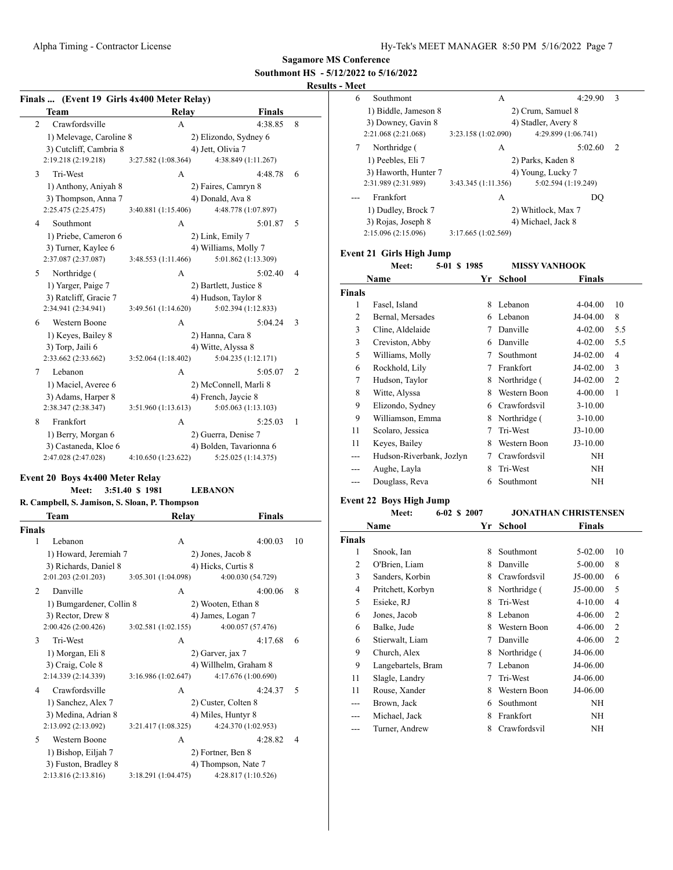# **Southmont HS - 5/12/2022 to 5/16/2022**

# **Results - Meet**

| Finals  (Event 19 Girls 4x400 Meter Relay) |                     |                         |   |  |  |  |
|--------------------------------------------|---------------------|-------------------------|---|--|--|--|
| Team                                       | <b>Relay</b>        | <b>Finals</b>           |   |  |  |  |
| Crawfordsville<br>$\overline{2}$           | A                   | 4:38.85                 | 8 |  |  |  |
| 1) Melevage, Caroline 8                    |                     | 2) Elizondo, Sydney 6   |   |  |  |  |
| 3) Cutcliff, Cambria 8                     |                     | 4) Jett, Olivia 7       |   |  |  |  |
| 2:19.218 (2:19.218)                        | 3:27.582 (1:08.364) | 4:38.849 (1:11.267)     |   |  |  |  |
| Tri-West<br>3                              | A                   | 4:48.78                 | 6 |  |  |  |
| 1) Anthony, Aniyah 8                       |                     | 2) Faires, Camryn 8     |   |  |  |  |
| 3) Thompson, Anna 7                        |                     | 4) Donald, Ava 8        |   |  |  |  |
| 2:25.475 (2:25.475)                        | 3:40.881 (1:15.406) | 4:48.778 (1:07.897)     |   |  |  |  |
| Southmont<br>4                             | А                   | 5:01.87                 | 5 |  |  |  |
| 1) Priebe, Cameron 6                       |                     | 2) Link, Emily 7        |   |  |  |  |
| 3) Turner, Kaylee 6                        |                     | 4) Williams, Molly 7    |   |  |  |  |
| 2:37.087 (2:37.087)                        | 3:48.553 (1:11.466) | 5:01.862 (1:13.309)     |   |  |  |  |
| Northridge (<br>5                          | A                   | 5:02.40                 | 4 |  |  |  |
| 1) Yarger, Paige 7                         |                     | 2) Bartlett, Justice 8  |   |  |  |  |
| 3) Ratcliff, Gracie 7                      |                     | 4) Hudson, Taylor 8     |   |  |  |  |
| 2:34.941 (2:34.941)                        | 3:49.561 (1:14.620) | 5:02.394 (1:12.833)     |   |  |  |  |
| <b>Western Boone</b><br>6                  | А                   | 5:04.24                 | 3 |  |  |  |
| 1) Keyes, Bailey 8                         |                     | 2) Hanna, Cara 8        |   |  |  |  |
| 3) Torp, Jaili 6                           |                     | 4) Witte, Alyssa 8      |   |  |  |  |
| 2:33.662 (2:33.662)                        | 3:52.064(1:18.402)  | 5:04.235 (1:12.171)     |   |  |  |  |
| Lebanon<br>7                               | A                   | 5:05.07                 | 2 |  |  |  |
| 1) Maciel, Averee 6                        |                     | 2) McConnell, Marli 8   |   |  |  |  |
| 3) Adams, Harper 8                         |                     | 4) French, Jaycie 8     |   |  |  |  |
| 2:38.347 (2:38.347)                        | 3:51.960(1:13.613)  | 5:05.063 (1:13.103)     |   |  |  |  |
| Frankfort<br>8                             | A                   | 5:25.03                 | 1 |  |  |  |
| 1) Berry, Morgan 6                         |                     | 2) Guerra, Denise 7     |   |  |  |  |
| 3) Castaneda, Kloe 6                       |                     | 4) Bolden, Tavarionna 6 |   |  |  |  |
| 2:47.028 (2:47.028)                        | 4:10.650 (1:23.622) | 5:25.025 (1:14.375)     |   |  |  |  |

#### **Event 20 Boys 4x400 Meter Relay**

#### **Meet: 3:51.40 \$ 1981 LEBANON**

| R. Campbell, S. Jamison, S. Sloan, P. Thompson |                     |                       |    |
|------------------------------------------------|---------------------|-----------------------|----|
| <b>Team</b>                                    | Relay               | Finals                |    |
| Finals                                         |                     |                       |    |
| 1<br>Lebanon                                   | A                   | 4:00.03               | 10 |
| 1) Howard, Jeremiah 7                          |                     | 2) Jones, Jacob 8     |    |
| 3) Richards, Daniel 8                          |                     | 4) Hicks, Curtis 8    |    |
| 2:01.203 (2:01.203)                            | 3:05.301 (1:04.098) | 4:00.030 (54.729)     |    |
| Danville<br>2                                  | А                   | 4:00.06               | 8  |
| 1) Bumgardener, Collin 8                       |                     | 2) Wooten, Ethan 8    |    |
| 3) Rector, Drew 8                              |                     | 4) James, Logan 7     |    |
| 2:00.426(2:00.426)                             | 3:02.581(1:02.155)  | 4:00.057 (57.476)     |    |
| 3<br>Tri-West                                  | A                   | 4:17.68               | 6  |
| 1) Morgan, Eli 8                               |                     | 2) Garver, jax 7      |    |
| 3) Craig, Cole 8                               |                     | 4) Willhelm, Graham 8 |    |
| 2:14.339 (2:14.339)                            | 3:16.986(1:02.647)  | 4:17.676 (1:00.690)   |    |
| Crawfordsville<br>4                            | A                   | 4:24.37               | 5  |
| 1) Sanchez, Alex 7                             |                     | 2) Custer, Colten 8   |    |
| 3) Medina, Adrian 8                            |                     | 4) Miles, Huntyr 8    |    |
| 2:13.092 (2:13.092)                            | 3:21.417 (1:08.325) | 4:24.370 (1:02.953)   |    |
| 5<br>Western Boone                             | А                   | 4:28.82               | 4  |
| 1) Bishop, Eiljah 7                            |                     | 2) Fortner, Ben 8     |    |
| 3) Fuston, Bradley 8                           |                     | 4) Thompson, Nate 7   |    |
| 2:13.816 (2:13.816)                            | 3:18.291 (1:04.475) | 4:28.817 (1:10.526)   |    |

| Southmont<br>6       | А                   | 4:29.90<br>3        |  |
|----------------------|---------------------|---------------------|--|
| 1) Biddle, Jameson 8 |                     | 2) Crum, Samuel 8   |  |
| 3) Downey, Gavin 8   |                     | 4) Stadler, Avery 8 |  |
| 2:21.068 (2:21.068)  | 3:23.158 (1:02.090) | 4:29.899 (1:06.741) |  |
| 7<br>Northridge (    | A                   | 5:02.60<br>2        |  |
| 1) Peebles, Eli 7    |                     | 2) Parks, Kaden 8   |  |
| 3) Haworth, Hunter 7 |                     | 4) Young, Lucky 7   |  |
| 2:31.989 (2:31.989)  | 3:43.345 (1:11.356) | 5:02.594 (1:19.249) |  |
| Frankfort            | A                   | DO                  |  |
| 1) Dudley, Brock 7   |                     | 2) Whitlock, Max 7  |  |
| 3) Rojas, Joseph 8   |                     | 4) Michael, Jack 8  |  |
| 2:15.096 (2:15.096)  | 3:17.665 (1:02.569) |                     |  |

# **Event 21 Girls High Jump**

|               | 5-01 \$ 1985<br>Meet:    |    | <b>MISSY VANHOOK</b> |            |     |
|---------------|--------------------------|----|----------------------|------------|-----|
|               | Name                     | Yr | School               | Finals     |     |
| <b>Finals</b> |                          |    |                      |            |     |
| 1             | Fasel, Island            | 8  | Lebanon              | 4-04.00    | 10  |
| 2             | Bernal, Mersades         | 6  | Lebanon              | J4-04.00   | 8   |
| 3             | Cline, Aldelaide         | 7  | Danville             | 4-02.00    | 5.5 |
| 3             | Creviston, Abby          | 6  | Danville             | 4-02.00    | 5.5 |
| 5             | Williams, Molly          | 7  | Southmont            | J4-02.00   | 4   |
| 6             | Rockhold, Lily           | 7  | Frankfort            | J4-02.00   | 3   |
| 7             | Hudson, Taylor           | 8  | Northridge (         | J4-02.00   | 2   |
| 8             | Witte, Alyssa            | 8  | Western Boon         | 4-00.00    | 1   |
| 9             | Elizondo, Sydney         | 6  | Crawfordsvil         | $3-10.00$  |     |
| 9             | Williamson, Emma         | 8  | Northridge (         | $3-10.00$  |     |
| 11            | Scolaro, Jessica         | 7  | Tri-West             | $J3-10.00$ |     |
| 11            | Keyes, Bailey            | 8  | Western Boon         | $J3-10.00$ |     |
| ---           | Hudson-Riverbank, Jozlyn | 7  | Crawfordsvil         | NH         |     |
| ---           | Aughe, Layla             | 8  | Tri-West             | NH         |     |
| ---           | Douglass, Reva           | 6  | Southmont            | NH         |     |
|               |                          |    |                      |            |     |

# **Event 22 Boys High Jump**

|        | Meet:              | 6-02 \$ 2007 |    |               | <b>JONATHAN CHRISTENSEN</b> |                |
|--------|--------------------|--------------|----|---------------|-----------------------------|----------------|
|        | Name               |              | Yr | <b>School</b> | <b>Finals</b>               |                |
| Finals |                    |              |    |               |                             |                |
| 1      | Snook, Ian         |              | 8  | Southmont     | $5-02.00$                   | 10             |
| 2      | O'Brien, Liam      |              | 8  | Danville      | 5-00.00                     | 8              |
| 3      | Sanders, Korbin    |              | 8  | Crawfordsvil  | $J5-00.00$                  | 6              |
| 4      | Pritchett, Korbyn  |              | 8  | Northridge (  | J5-00.00                    | 5              |
| 5      | Esieke, RJ         |              | 8  | Tri-West      | $4 - 10.00$                 | 4              |
| 6      | Jones, Jacob       |              | 8  | Lebanon       | $4 - 06.00$                 | $\overline{2}$ |
| 6      | Balke, Jude        |              | 8  | Western Boon  | 4-06.00                     | $\overline{2}$ |
| 6      | Stierwalt, Liam    |              | 7  | Danville      | 4-06.00                     | $\overline{2}$ |
| 9      | Church, Alex       |              | 8  | Northridge (  | J4-06.00                    |                |
| 9      | Langebartels, Bram |              | 7  | Lebanon       | J4-06.00                    |                |
| 11     | Slagle, Landry     |              | 7  | Tri-West      | J4-06.00                    |                |
| 11     | Rouse, Xander      |              | 8  | Western Boon  | J4-06.00                    |                |
| ---    | Brown, Jack        |              | 6  | Southmont     | NH                          |                |
|        | Michael, Jack      |              | 8  | Frankfort     | NH                          |                |
| ---    | Turner, Andrew     |              | 8  | Crawfordsvil  | ΝH                          |                |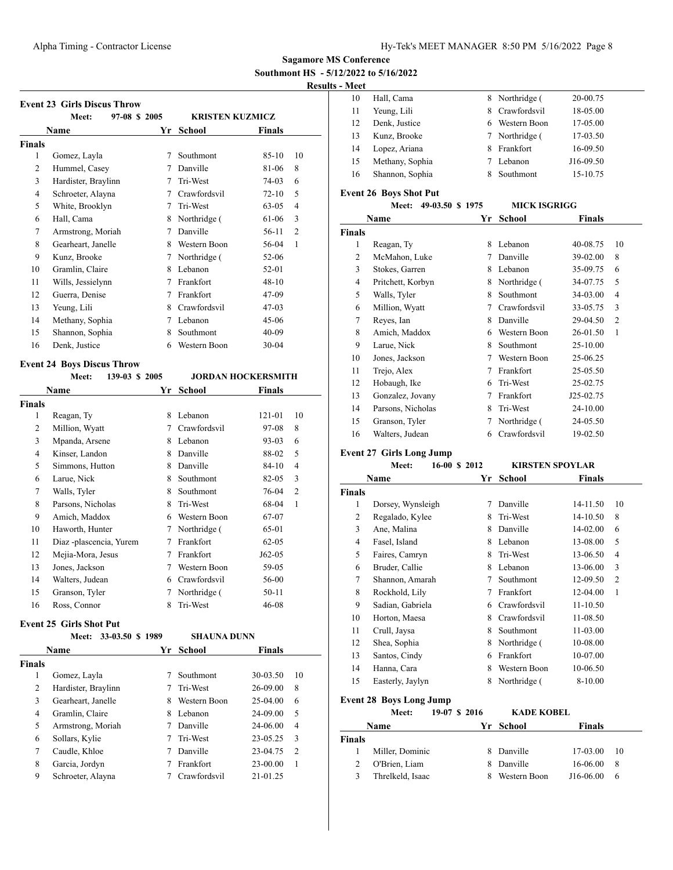# **Results - Meet**

| <br>. |                 |    |                |           |
|-------|-----------------|----|----------------|-----------|
| 10    | Hall, Cama      |    | 8 Northridge ( | 20-00.75  |
| 11    | Yeung, Lili     |    | 8 Crawfordsvil | 18-05.00  |
| 12    | Denk. Justice   |    | 6 Western Boon | 17-05.00  |
| 13    | Kunz, Brooke    |    | 7 Northridge ( | 17-03.50  |
| 14    | Lopez, Ariana   | 8. | Frankfort      | 16-09.50  |
| 15    | Methany, Sophia |    | Lebanon        | J16-09.50 |
| 16    | Shannon, Sophia |    | Southmont      | 15-10.75  |
|       |                 |    |                |           |

## **Event 26 Boys Shot Put**

|        | Meet:             | 49-03.50 \$1975 | <b>MICK ISGRIGG</b> |               |                |
|--------|-------------------|-----------------|---------------------|---------------|----------------|
|        | Name              | Yr              | School              | <b>Finals</b> |                |
| Finals |                   |                 |                     |               |                |
| 1      | Reagan, Ty        | 8               | Lebanon             | 40-08.75      | 10             |
| 2      | McMahon, Luke     | 7               | Danville            | 39-02.00      | 8              |
| 3      | Stokes, Garren    | 8               | Lebanon             | 35-09.75      | 6              |
| 4      | Pritchett, Korbyn | 8               | Northridge (        | 34-07.75      | 5              |
| 5      | Walls, Tyler      | 8               | Southmont           | 34-03.00      | 4              |
| 6      | Million, Wyatt    | 7               | Crawfordsvil        | 33-05.75      | 3              |
| 7      | Reyes, Ian        | 8               | Danville            | 29-04.50      | $\overline{2}$ |
| 8      | Amich, Maddox     | 6               | Western Boon        | 26-01.50      | 1              |
| 9      | Larue, Nick       | 8               | Southmont           | 25-10.00      |                |
| 10     | Jones, Jackson    | 7               | Western Boon        | 25-06.25      |                |
| 11     | Trejo, Alex       | 7               | Frankfort           | 25-05.50      |                |
| 12     | Hobaugh, Ike      | 6               | Tri-West            | 25-02.75      |                |
| 13     | Gonzalez, Jovany  | 7               | Frankfort           | J25-02.75     |                |
| 14     | Parsons, Nicholas | 8               | Tri-West            | 24-10.00      |                |
| 15     | Granson, Tyler    | 7               | Northridge (        | 24-05.50      |                |
| 16     | Walters, Judean   | 6               | Crawfordsvil        | 19-02.50      |                |

# **Event 27 Girls Long Jump**

|                | Meet:<br>16-00 \$ 2012         |    | <b>KIRSTEN SPOYLAR</b> |               |                |  |  |
|----------------|--------------------------------|----|------------------------|---------------|----------------|--|--|
|                | Name                           | Yr | School                 | <b>Finals</b> |                |  |  |
| <b>Finals</b>  |                                |    |                        |               |                |  |  |
| 1              | Dorsey, Wynsleigh              | 7  | Danville               | 14-11.50      | 10             |  |  |
| $\overline{c}$ | Regalado, Kylee                | 8  | Tri-West               | 14-10.50      | 8              |  |  |
| 3              | Ane, Malina                    | 8  | Danville               | 14-02.00      | 6              |  |  |
| 4              | Fasel, Island                  | 8  | Lebanon                | 13-08.00      | 5              |  |  |
| 5              | Faires, Camryn                 | 8  | Tri-West               | 13-06.50      | $\overline{4}$ |  |  |
| 6              | Bruder, Callie                 | 8  | Lebanon                | 13-06.00      | 3              |  |  |
| 7              | Shannon, Amarah                | 7  | Southmont              | 12-09.50      | $\overline{2}$ |  |  |
| 8              | Rockhold, Lily                 | 7  | Frankfort              | 12-04.00      | 1              |  |  |
| 9              | Sadian, Gabriela               | 6  | Crawfordsvil           | $11 - 10.50$  |                |  |  |
| 10             | Horton, Maesa                  | 8  | Crawfordsvil           | 11-08.50      |                |  |  |
| 11             | Crull, Jaysa                   | 8  | Southmont              | 11-03.00      |                |  |  |
| 12             | Shea, Sophia                   | 8  | Northridge (           | 10-08.00      |                |  |  |
| 13             | Santos, Cindy                  | 6  | Frankfort              | 10-07.00      |                |  |  |
| 14             | Hanna, Cara                    | 8  | Western Boon           | 10-06.50      |                |  |  |
| 15             | Easterly, Jaylyn               | 8  | Northridge (           | 8-10.00       |                |  |  |
|                | <b>Event 28 Boys Long Jump</b> |    |                        |               |                |  |  |
|                | 19-07 \$ 2016<br>Meet:         |    | <b>KADE KOBEL</b>      |               |                |  |  |

|               | .                | .  | .            |               |      |
|---------------|------------------|----|--------------|---------------|------|
|               | <b>Name</b>      |    | Yr School    | <b>Finals</b> |      |
| <b>Finals</b> |                  |    |              |               |      |
|               | Miller, Dominic  | 8. | Danville     | 17-03.00      | - 10 |
|               | O'Brien, Liam    | 8. | Danville     | 16-06.00      | -8   |
| 3             | Threlkeld, Isaac | x  | Western Boon | J16-06.00     | 6    |

|                | Meet:                             | 97-08 \$ 2005  | <b>KRISTEN KUZMICZ</b> |                           |
|----------------|-----------------------------------|----------------|------------------------|---------------------------|
|                | Name                              | Yr             | <b>School</b>          | <b>Finals</b>             |
| <b>Finals</b>  |                                   |                |                        |                           |
| 1              | Gomez, Layla                      | 7              | Southmont              | $85-10$<br>10             |
| $\overline{2}$ | Hummel, Casey                     | 7              | Danville               | 8<br>81-06                |
| 3              | Hardister, Braylinn               | 7              | Tri-West               | 74-03<br>6                |
| $\overline{4}$ | Schroeter, Alayna                 | 7              | Crawfordsvil           | $72 - 10$<br>5            |
| 5              | White, Brooklyn                   | 7              | Tri-West               | $63-05$<br>$\overline{4}$ |
| 6              | Hall, Cama                        | 8              | Northridge (           | 61-06<br>3                |
| 7              | Armstrong, Moriah                 | 7              | Danville               | 56-11<br>$\overline{2}$   |
| 8              | Gearheart, Janelle                | 8              | Western Boon           | 56-04<br>1                |
| 9              | Kunz, Brooke                      | 7              | Northridge (           | $52-06$                   |
| 10             | Gramlin, Claire                   | 8              | Lebanon                | 52-01                     |
| 11             | Wills, Jessielynn                 | 7              | Frankfort              | $48 - 10$                 |
| 12             | Guerra, Denise                    | 7              | Frankfort              | 47-09                     |
| 13             | Yeung, Lili                       | 8              | Crawfordsvil           | $47-03$                   |
| 14             | Methany, Sophia                   | 7              | Lebanon                | $45-06$                   |
| 15             | Shannon, Sophia                   | 8              | Southmont              | $40 - 09$                 |
| 16             | Denk, Justice                     | 6              | Western Boon           | $30 - 04$                 |
|                | <b>Event 24 Boys Discus Throw</b> |                |                        |                           |
|                | Meet:                             | 139-03 \$ 2005 |                        | <b>JORDAN HOCKERSMITH</b> |
|                | <b>Name</b>                       | Yr             | <b>School</b>          | <b>Finals</b>             |
| <b>Finals</b>  |                                   |                |                        |                           |
| 1              | Reagan Ty                         |                | 8 Lebanon              | $121 - 01$<br>10          |

| 1              | Reagan, Ty              | 8 | Lebanon      | 121-01    | 10             |
|----------------|-------------------------|---|--------------|-----------|----------------|
| 2              | Million, Wyatt          | 7 | Crawfordsvil | 97-08     | 8              |
| 3              | Mpanda, Arsene          | 8 | Lebanon      | 93-03     | 6              |
| $\overline{4}$ | Kinser, Landon          | 8 | Danville     | 88-02     | 5              |
| 5              | Simmons, Hutton         | 8 | Danville     | 84-10     | 4              |
| 6              | Larue, Nick             | 8 | Southmont    | 82-05     | 3              |
| 7              | Walls, Tyler            | 8 | Southmont    | 76-04     | $\overline{2}$ |
| 8              | Parsons, Nicholas       | 8 | Tri-West     | 68-04     | 1              |
| 9              | Amich, Maddox           | 6 | Western Boon | 67-07     |                |
| 10             | Haworth, Hunter         | 7 | Northridge ( | 65-01     |                |
| 11             | Diaz -plascencia, Yurem | 7 | Frankfort    | $62 - 05$ |                |
| 12             | Mejia-Mora, Jesus       | 7 | Frankfort    | $J62-05$  |                |
| 13             | Jones, Jackson          | 7 | Western Boon | 59-05     |                |
| 14             | Walters, Judean         | 6 | Crawfordsvil | 56-00     |                |
| 15             | Granson, Tyler          | 7 | Northridge ( | $50 - 11$ |                |
| 16             | Ross, Connor            | 8 | Tri-West     | 46-08     |                |

#### **Event 25 Girls Shot Put**

|        | 33-03.50 \$ 1989<br>Meet: |   | <b>SHAUNA DUNN</b> |               |                |
|--------|---------------------------|---|--------------------|---------------|----------------|
|        | <b>Name</b>               |   | Yr School          | <b>Finals</b> |                |
| Finals |                           |   |                    |               |                |
| 1      | Gomez, Layla              |   | Southmont          | 30-03.50      | 10             |
| 2      | Hardister, Braylinn       |   | Tri-West           | 26-09.00      | 8              |
| 3      | Gearheart, Janelle        | 8 | Western Boon       | $25-04.00$    | 6              |
| 4      | Gramlin, Claire           | 8 | Lebanon            | 24-09.00      | 5              |
| 5      | Armstrong, Moriah         |   | Danville           | 24-06.00      | $\overline{4}$ |
| 6      | Sollars, Kylie            |   | Tri-West           | 23-05.25      | 3              |
| 7      | Caudle, Khloe             |   | Danville           | 23-04.75      | $\overline{2}$ |
| 8      | Garcia, Jordyn            |   | Frankfort          | 23-00.00      | 1              |
| 9      | Schroeter, Alayna         |   | Crawfordsvil       | 21-01.25      |                |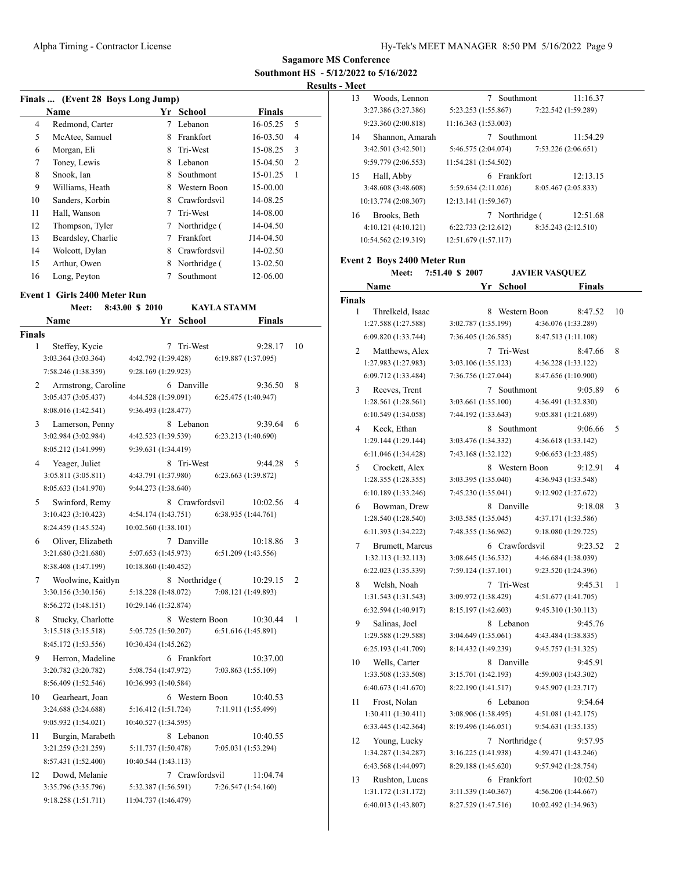#### **Results - Meet**

| Finals  (Event 28 Boys Long Jump) |                    |   |              |               |                |
|-----------------------------------|--------------------|---|--------------|---------------|----------------|
|                                   | Name               |   | Yr School    | <b>Finals</b> |                |
| 4                                 | Redmond, Carter    | 7 | Lebanon      | 16-05.25      | 5              |
| 5                                 | McAtee, Samuel     | 8 | Frankfort    | 16-03.50      | 4              |
| 6                                 | Morgan, Eli        | 8 | Tri-West     | 15-08.25      | 3              |
| 7                                 | Toney, Lewis       | 8 | Lebanon      | 15-04.50      | $\overline{c}$ |
| 8                                 | Snook, Ian         | 8 | Southmont    | 15-01.25      | 1              |
| 9                                 | Williams, Heath    | 8 | Western Boon | 15-00.00      |                |
| 10                                | Sanders, Korbin    | 8 | Crawfordsvil | 14-08.25      |                |
| 11                                | Hall, Wanson       | 7 | Tri-West     | 14-08.00      |                |
| 12                                | Thompson, Tyler    | 7 | Northridge ( | 14-04.50      |                |
| 13                                | Beardsley, Charlie | 7 | Frankfort    | J14-04.50     |                |
| 14                                | Wolcott, Dylan     | 8 | Crawfordsvil | 14-02.50      |                |
| 15                                | Arthur, Owen       | 8 | Northridge ( | 13-02.50      |                |
| 16                                | Long, Peyton       |   | Southmont    | 12-06.00      |                |

#### **Event 1 Girls 2400 Meter Run**

|        | Meet:               | 8:43.00 \$ 2010      |                | <b>KAYLA STAMM</b>  |                |
|--------|---------------------|----------------------|----------------|---------------------|----------------|
|        | Name                |                      | Yr School      | Finals              |                |
| Finals |                     |                      |                |                     |                |
| 1      | Steffey, Kycie      | 7                    | Tri-West       | 9:28.17             | 10             |
|        | 3:03.364 (3:03.364) | 4:42.792 (1:39.428)  |                | 6:19.887 (1:37.095) |                |
|        | 7:58.246 (1:38.359) | 9:28.169 (1:29.923)  |                |                     |                |
| 2      | Armstrong, Caroline |                      | 6 Danville     | 9:36.50             | 8              |
|        | 3:05.437 (3:05.437) | 4:44.528 (1:39.091)  |                | 6:25.475 (1:40.947) |                |
|        | 8:08.016 (1:42.541) | 9:36.493 (1:28.477)  |                |                     |                |
| 3      | Lamerson, Penny     |                      | 8 Lebanon      | 9:39.64             | 6              |
|        | 3:02.984 (3:02.984) | 4:42.523 (1:39.539)  |                | 6:23.213 (1:40.690) |                |
|        | 8:05.212 (1:41.999) | 9:39.631 (1:34.419)  |                |                     |                |
| 4      | Yeager, Juliet      |                      | 8 Tri-West     | 9:44.28             | 5              |
|        | 3:05.811 (3:05.811) | 4:43.791 (1:37.980)  |                | 6:23.663 (1:39.872) |                |
|        | 8:05.633 (1:41.970) | 9:44.273 (1:38.640)  |                |                     |                |
| 5      | Swinford, Remy      |                      | 8 Crawfordsvil | 10:02.56            | $\overline{4}$ |
|        | 3:10.423(3:10.423)  | 4:54.174 (1:43.751)  |                | 6:38.935(1:44.761)  |                |
|        | 8:24.459 (1:45.524) | 10:02.560 (1:38.101) |                |                     |                |
| 6      | Oliver, Elizabeth   |                      | 7 Danville     | 10:18.86            | 3              |
|        | 3:21.680 (3:21.680) | 5:07.653 (1:45.973)  |                | 6:51.209 (1:43.556) |                |
|        | 8:38.408 (1:47.199) | 10:18.860 (1:40.452) |                |                     |                |
| 7      | Woolwine, Kaitlyn   |                      | 8 Northridge ( | 10:29.15            | 2              |
|        | 3:30.156 (3:30.156) | 5:18.228 (1:48.072)  |                | 7:08.121 (1:49.893) |                |
|        | 8:56.272 (1:48.151) | 10:29.146 (1:32.874) |                |                     |                |
| 8      | Stucky, Charlotte   |                      | 8 Western Boon | 10:30.44            | 1              |
|        | 3:15.518 (3:15.518) | 5:05.725 (1:50.207)  |                | 6:51.616(1:45.891)  |                |
|        | 8:45.172 (1:53.556) | 10:30.434 (1:45.262) |                |                     |                |
| 9      | Herron, Madeline    |                      | 6 Frankfort    | 10:37.00            |                |
|        | 3:20.782 (3:20.782) | 5:08.754 (1:47.972)  |                | 7:03.863 (1:55.109) |                |
|        | 8:56.409 (1:52.546) | 10:36.993 (1:40.584) |                |                     |                |
| 10     | Gearheart, Joan     |                      | 6 Western Boon | 10:40.53            |                |
|        | 3:24.688 (3:24.688) | 5:16.412 (1:51.724)  |                | 7:11.911 (1:55.499) |                |
|        | 9:05.932 (1:54.021) | 10:40.527 (1:34.595) |                |                     |                |
| 11     | Burgin, Marabeth    |                      | 8 Lebanon      | 10:40.55            |                |
|        | 3:21.259 (3:21.259) | 5:11.737 (1:50.478)  |                | 7:05.031 (1:53.294) |                |
|        | 8:57.431 (1:52.400) | 10:40.544 (1:43.113) |                |                     |                |
| 12     | Dowd, Melanie       |                      | 7 Crawfordsvil | 11:04.74            |                |
|        | 3:35.796 (3:35.796) | 5:32.387 (1:56.591)  |                | 7:26.547 (1:54.160) |                |
|        | 9:18.258 (1:51.711) | 11:04.737 (1:46.479) |                |                     |                |

| 13            | Woods, Lennon                               | 7 Southmont<br>11:16.37                    |    |
|---------------|---------------------------------------------|--------------------------------------------|----|
|               | 3:27.386 (3:27.386)                         | 5:23.253 (1:55.867)<br>7:22.542 (1:59.289) |    |
|               | 9:23.360 (2:00.818)                         | 11:16.363(1:53.003)                        |    |
| 14            | Shannon, Amarah                             | 7 Southmont<br>11:54.29                    |    |
|               | 3:42.501 (3:42.501)                         | 5:46.575 (2:04.074)<br>7:53.226 (2:06.651) |    |
|               |                                             | 11:54.281 (1:54.502)                       |    |
|               | 9:59.779 (2:06.553)                         |                                            |    |
| 15            | Hall, Abby                                  | 6 Frankfort<br>12:13.15                    |    |
|               | 3:48.608 (3:48.608)                         | 5:59.634 (2:11.026)<br>8:05.467 (2:05.833) |    |
|               | 10:13.774 (2:08.307)                        | 12:13.141 (1:59.367)                       |    |
| 16            | Brooks, Beth                                | 7 Northridge (<br>12:51.68                 |    |
|               | 4:10.121(4:10.121)                          | 6:22.733(2:12.612)<br>8:35.243 (2:12.510)  |    |
|               | 10:54.562 (2:19.319)                        | 12:51.679 (1:57.117)                       |    |
|               |                                             |                                            |    |
|               | <b>Event 2 Boys 2400 Meter Run</b><br>Meet: | <b>JAVIER VASQUEZ</b><br>7:51.40 \$ 2007   |    |
|               | Name                                        | Yr School<br>Finals                        |    |
|               |                                             |                                            |    |
| <b>Finals</b> |                                             |                                            |    |
| 1             | Threlkeld, Isaac                            | 8 Western Boon<br>8:47.52                  | 10 |
|               | 1:27.588 (1:27.588)                         | 3:02.787 (1:35.199)<br>4:36.076 (1:33.289) |    |
|               | 6:09.820 (1:33.744)                         | 7:36.405 (1:26.585)<br>8:47.513 (1:11.108) |    |
| 2             | Matthews, Alex                              | 7 Tri-West<br>8:47.66                      | 8  |
|               | 1:27.983 (1:27.983)                         | 3:03.106 (1:35.123)<br>4:36.228 (1:33.122) |    |
|               | 6:09.712 (1:33.484)                         | 8:47.656 (1:10.900)<br>7:36.756 (1:27.044) |    |
| 3             | Reeves, Trent                               | 7 Southmont<br>9:05.89                     | 6  |
|               | 1:28.561 (1:28.561)                         | 3:03.661 (1:35.100)<br>4:36.491 (1:32.830) |    |
|               | 6:10.549 (1:34.058)                         | 9:05.881 (1:21.689)<br>7:44.192 (1:33.643) |    |
| 4             | Keck, Ethan                                 | 8 Southmont<br>9:06.66                     | 5  |
|               | 1:29.144 (1:29.144)                         | 3:03.476 (1:34.332)<br>4:36.618 (1:33.142) |    |
|               | 6:11.046 (1:34.428)                         | 7:43.168 (1:32.122)<br>9:06.653 (1:23.485) |    |
| 5             | Crockett, Alex                              | 8 Western Boon<br>9:12.91                  | 4  |
|               | 1:28.355 (1:28.355)                         | 3:03.395 (1:35.040)<br>4:36.943 (1:33.548) |    |
|               | 6:10.189(1:33.246)                          | 7:45.230 (1:35.041)<br>9:12.902 (1:27.672) |    |
|               |                                             |                                            |    |
| 6             | Bowman, Drew                                | 8 Danville<br>9:18.08                      | 3  |
|               | 1:28.540 (1:28.540)                         | 3:03.585 (1:35.045)<br>4:37.171 (1:33.586) |    |
|               | 6:11.393 (1:34.222)                         | 7:48.355 (1:36.962)<br>9:18.080 (1:29.725) |    |
| 7             | Brumett, Marcus                             | 6 Crawfordsvil<br>9:23.52                  | 2  |
|               | 1:32.113 (1:32.113)                         | 3:08.645 (1:36.532)<br>4:46.684 (1:38.039) |    |
|               | 6:22.023 (1:35.339)                         | 7:59.124(1:37.101)<br>9:23.520 (1:24.396)  |    |
|               | 8 Welsh, Noah                               | 7 Tri-West 9:45.31                         | -1 |
|               | 1:31.543 (1:31.543)                         | 3:09.972 (1:38.429)<br>4:51.677 (1:41.705) |    |
|               | 6:32.594 (1:40.917)                         | 8:15.197 (1:42.603)<br>9:45.310 (1:30.113) |    |
| 9             | Salinas, Joel                               | 8 Lebanon<br>9:45.76                       |    |
|               | 1:29.588 (1:29.588)                         | 3:04.649 (1:35.061)<br>4:43.484 (1:38.835) |    |
|               | 6:25.193 (1:41.709)                         | 8:14.432 (1:49.239)<br>9:45.757 (1:31.325) |    |
| 10            |                                             |                                            |    |
|               |                                             | 8 Danville<br>9:45.91                      |    |
|               | Wells, Carter<br>1:33.508 (1:33.508)        | 3:15.701 (1:42.193)<br>4:59.003 (1:43.302) |    |
|               |                                             |                                            |    |
|               | 6:40.673 (1:41.670)                         | 8:22.190 (1:41.517)<br>9:45.907 (1:23.717) |    |
| 11            | Frost, Nolan                                | 6 Lebanon<br>9:54.64                       |    |
|               | 1:30.411 (1:30.411)                         | 3:08.906 (1:38.495)<br>4:51.081 (1:42.175) |    |
|               | 6:33.445 (1:42.364)                         | 8:19.496 (1:46.051)<br>9:54.631 (1:35.135) |    |
| 12            | Young, Lucky                                | 7 Northridge (<br>9:57.95                  |    |
|               | 1:34.287 (1:34.287)                         | 3:16.225 (1:41.938)<br>4:59.471 (1:43.246) |    |
|               | 6:43.568 (1:44.097)                         | 8:29.188 (1:45.620)<br>9:57.942 (1:28.754) |    |
| 13            | Rushton, Lucas                              | 6 Frankfort<br>10:02.50                    |    |
|               | 1:31.172 (1:31.172)                         | 3:11.539 (1:40.367)<br>4:56.206 (1:44.667) |    |